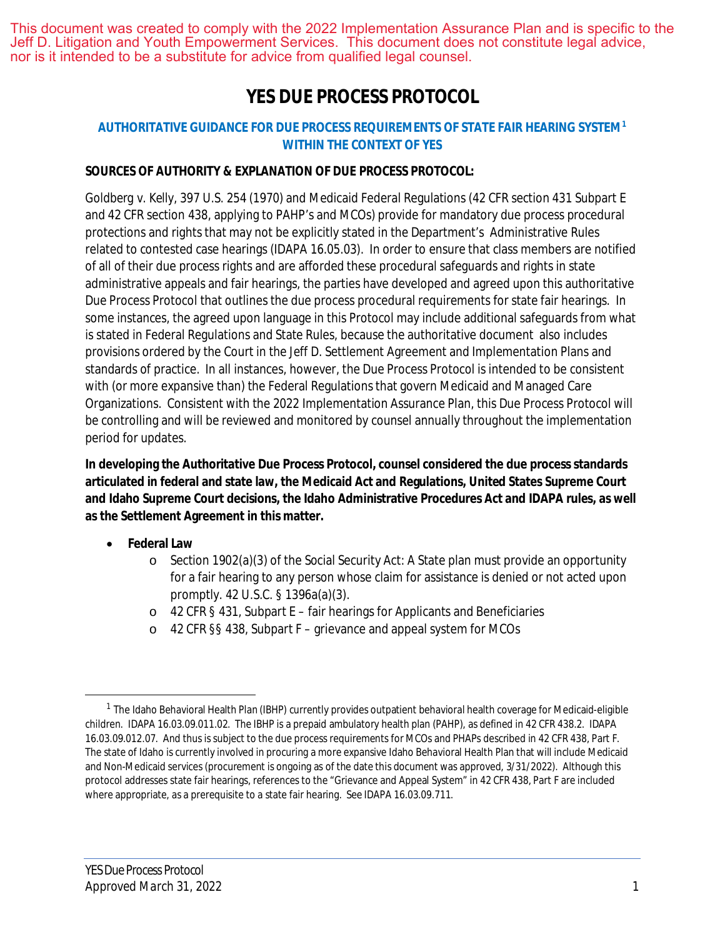This document was created to comply with the 2022 Implementation Assurance Plan and is specific to the Jeff D. Litigation and Youth Empowerment Services. This document does not constitute legal advice, nor is it intended to be a substitute for advice from qualified legal counsel.

# **YES DUE PROCESS PROTOCOL**

## **AUTHORITATIVE GUIDANCE FOR DUE PROCESS REQUIREMENTS OF STATE FAIR HEARING SYSTEM[1](#page-0-0) WITHIN THE CONTEXT OF YES**

## **SOURCES OF AUTHORITY & EXPLANATION OF DUE PROCESS PROTOCOL:**

*Goldberg v. Kelly*, 397 U.S. 254 (1970) and Medicaid Federal Regulations (42 CFR section 431 Subpart E and 42 CFR section 438, applying to PAHP's and MCOs) provide for mandatory due process procedural protections and rights that may not be explicitly stated in the Department's Administrative Rules related to contested case hearings (IDAPA 16.05.03). In order to ensure that class members are notified of all of their due process rights and are afforded these procedural safeguards and rights in state administrative appeals and fair hearings, the parties have developed and agreed upon this authoritative Due Process Protocol that outlines the due process procedural requirements for state fair hearings. In some instances, the agreed upon language in this Protocol may include additional safeguards from what is stated in Federal Regulations and State Rules, because the authoritative document also includes provisions ordered by the Court in the *Jeff D.* Settlement Agreement and Implementation Plans and standards of practice. In all instances, however, the Due Process Protocol is intended to be consistent with (or more expansive than) the Federal Regulations that govern Medicaid and Managed Care Organizations. Consistent with the 2022 Implementation Assurance Plan, this Due Process Protocol will be controlling and will be reviewed and monitored by counsel annually throughout the implementation period for updates.

**In developing the Authoritative Due Process Protocol, counsel considered the due process standards articulated in federal and state law, the Medicaid Act and Regulations, United States Supreme Court and Idaho Supreme Court decisions, the Idaho Administrative Procedures Act and IDAPA rules, as well as the Settlement Agreement in this matter.**

- **Federal Law**
	- o Section 1902(a)(3) of the Social Security Act: A State plan must provide an opportunity for a fair hearing to any person whose claim for assistance is denied or not acted upon promptly. 42 U.S.C. § 1396a(a)(3).
	- o 42 CFR § 431, Subpart E fair hearings for Applicants and Beneficiaries
	- o 42 CFR §§ 438, Subpart F grievance and appeal system for MCOs

<span id="page-0-0"></span> $^{\rm 1}$  The Idaho Behavioral Health Plan (IBHP) currently provides outpatient behavioral health coverage for Medicaid-eligible children. IDAPA 16.03.09.011.02. The IBHP is a prepaid ambulatory health plan (PAHP), as defined in 42 CFR 438.2. IDAPA 16.03.09.012.07. And thus is subject to the due process requirements for MCOs and PHAPs described in 42 CFR 438, Part F. The state of Idaho is currently involved in procuring a more expansive Idaho Behavioral Health Plan that will include Medicaid and Non-Medicaid services (procurement is ongoing as of the date this document was approved, 3/31/2022). Although this protocol addresses state fair hearings, references to the "Grievance and Appeal System" in 42 CFR 438, Part F are included where appropriate, as a prerequisite to a state fair hearing. See IDAPA 16.03.09.711.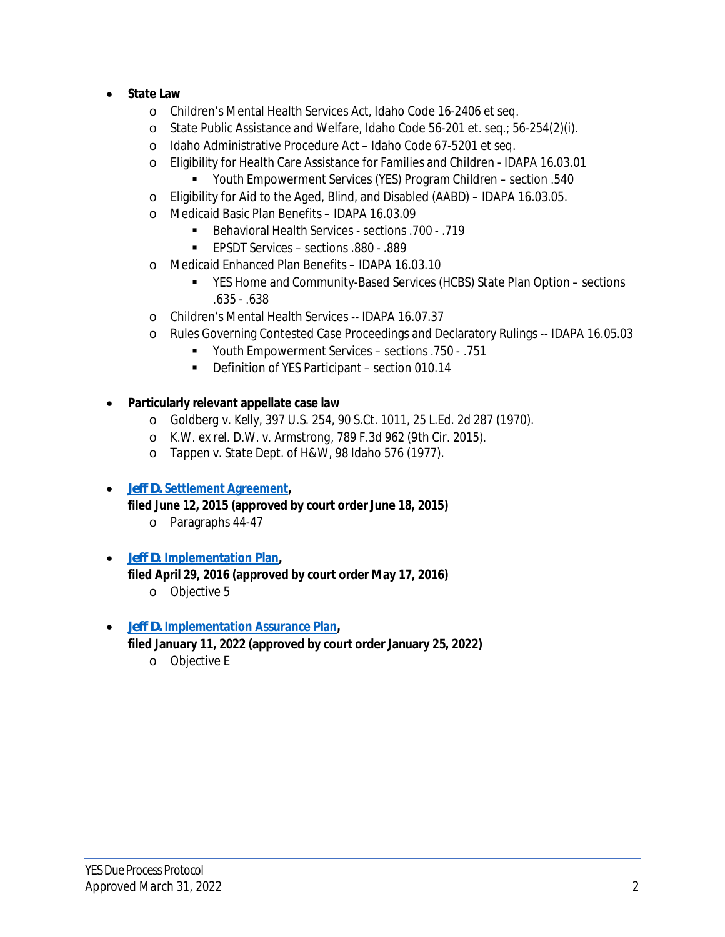- **State Law**
	- o Children's Mental Health Services Act, Idaho Code 16-2406 *et seq*.
	- o State Public Assistance and Welfare, Idaho Code 56-201 *et. seq.;* 56-254(2)(i).
	- o Idaho Administrative Procedure Act Idaho Code 67-5201 *et seq*.
	- o Eligibility for Health Care Assistance for Families and Children IDAPA 16.03.01
		- Youth Empowerment Services (YES) Program Children section .540
	- o Eligibility for Aid to the Aged, Blind, and Disabled (AABD) IDAPA 16.03.05.
	- o Medicaid Basic Plan Benefits IDAPA 16.03.09
		- Behavioral Health Services sections .700 .719
		- EPSDT Services sections .880 .889
	- o Medicaid Enhanced Plan Benefits IDAPA 16.03.10
		- YES Home and Community-Based Services (HCBS) State Plan Option sections .635 - .638
	- o Children's Mental Health Services -- IDAPA 16.07.37
	- o Rules Governing Contested Case Proceedings and Declaratory Rulings -- IDAPA 16.05.03
		- Youth Empowerment Services sections .750 .751
		- Definition of YES Participant section 010.14
- **Particularly relevant appellate case law**
	- o *Goldberg v. Kelly*, 397 U.S. 254, 90 S.Ct. 1011, 25 L.Ed. 2d 287 (1970).
	- o *K.W. ex rel. D.W. v. Armstrong*, 789 F.3d 962 (9th Cir. 2015).
	- o *Tappen v. State Dept. of H&W*, 98 Idaho 576 (1977).
- *Jeff D.* **[Settlement Agreement](https://yes.idaho.gov/wp-content/uploads/2021/04/JeffDOfficialAgreement.pdf),**
	- **filed June 12, 2015 (approved by court order June 18, 2015)**
		- o Paragraphs 44-47
- *Jeff D***[. Implementation Plan,](https://yes.idaho.gov/wp-content/uploads/2021/04/YESImplementationPlan.pdf) filed April 29, 2016 (approved by court order May 17, 2016)**
	- o Objective 5
- *Jeff D.* **[Implementation Assurance Plan](https://yes.idaho.gov/wp-content/uploads/2022/01/Docket-770.pdf), filed January 11, 2022 (approved by court order January 25, 2022)**
	- o Objective E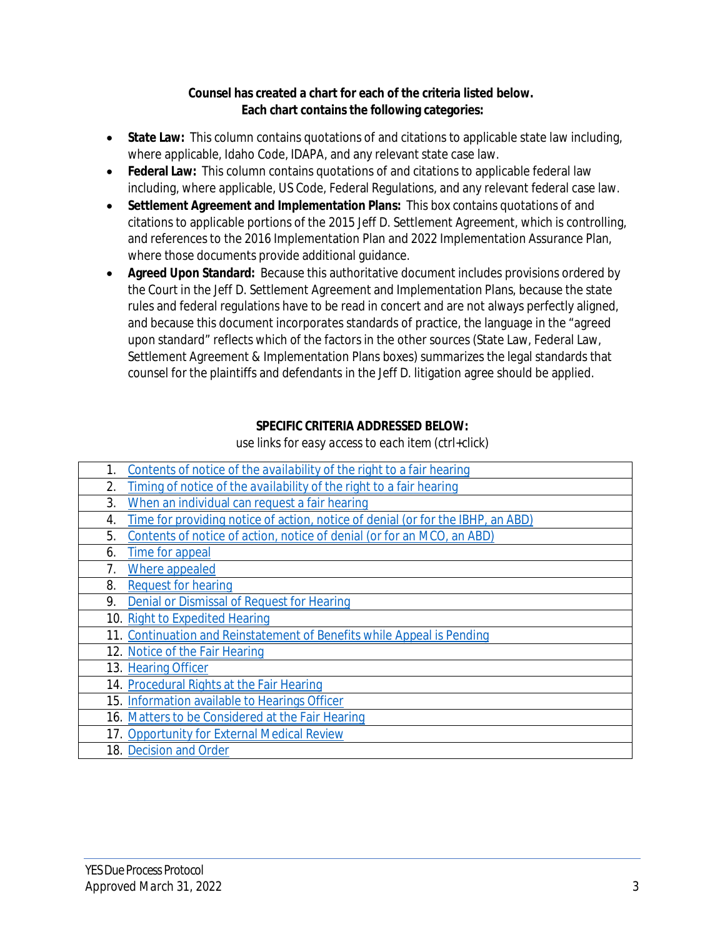**Counsel has created a chart for each of the criteria listed below. Each chart contains the following categories:**

- **State Law:** This column contains quotations of and citations to applicable state law including, where applicable, Idaho Code, IDAPA, and any relevant state case law.
- **Federal Law:** This column contains quotations of and citations to applicable federal law including, where applicable, US Code, Federal Regulations, and any relevant federal case law.
- **Settlement Agreement and Implementation Plans:** This box contains quotations of and citations to applicable portions of the 2015 *Jeff D.* Settlement Agreement, which is controlling, and references to the 2016 Implementation Plan and 2022 Implementation Assurance Plan, where those documents provide additional guidance.
- **Agreed Upon Standard:** Because this authoritative document includes provisions ordered by the Court in the *Jeff D.* Settlement Agreement and Implementation Plans, because the state rules and federal regulations have to be read in concert and are not always perfectly aligned, and because this document incorporates standards of practice, the language in the "agreed upon standard" reflects which of the factors in the other sources (State Law, Federal Law, Settlement Agreement & Implementation Plans boxes) summarizes the legal standards that counsel for the plaintiffs and defendants in the Jeff D. litigation agree should be applied.

### **SPECIFIC CRITERIA ADDRESSED BELOW:**

#### *use links for easy access to each item (ctrl+click)*

| 1. | Contents of notice of the <i>availability</i> of the right to a fair hearing    |
|----|---------------------------------------------------------------------------------|
| 2. | Timing of notice of the availability of the right to a fair hearing             |
|    |                                                                                 |
| 3. | When an individual can request a fair hearing                                   |
| 4. | Time for providing notice of action, notice of denial (or for the IBHP, an ABD) |
| 5. | Contents of notice of action, notice of denial (or for an MCO, an ABD)          |
| 6. | Time for appeal                                                                 |
| 7. | Where appealed                                                                  |
| 8. | <b>Request for hearing</b>                                                      |
| 9. | Denial or Dismissal of Request for Hearing                                      |
|    | 10. Right to Expedited Hearing                                                  |
|    | 11. Continuation and Reinstatement of Benefits while Appeal is Pending          |
|    | 12. Notice of the Fair Hearing                                                  |
|    | 13. Hearing Officer                                                             |
|    | 14. Procedural Rights at the Fair Hearing                                       |
|    | 15. Information available to Hearings Officer                                   |
|    | 16. Matters to be Considered at the Fair Hearing                                |
|    | 17. Opportunity for External Medical Review                                     |
|    | 18. Decision and Order                                                          |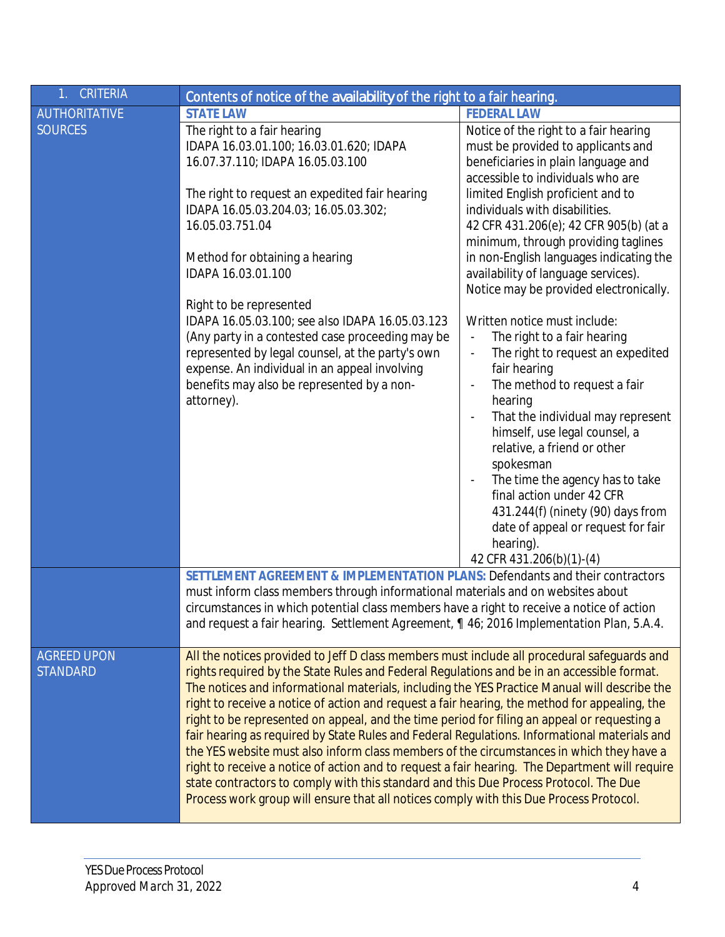<span id="page-3-0"></span>

| 1. CRITERIA                           | Contents of notice of the availability of the right to a fair hearing.                                                                                                                                                                                                                                                                                                                                                                                                                                                                                                                                                                                                                                                                                                                                                                                                                                                                                                     |                                                                                                                                                                                                                                                                                                                                                                                                                                                                                               |  |
|---------------------------------------|----------------------------------------------------------------------------------------------------------------------------------------------------------------------------------------------------------------------------------------------------------------------------------------------------------------------------------------------------------------------------------------------------------------------------------------------------------------------------------------------------------------------------------------------------------------------------------------------------------------------------------------------------------------------------------------------------------------------------------------------------------------------------------------------------------------------------------------------------------------------------------------------------------------------------------------------------------------------------|-----------------------------------------------------------------------------------------------------------------------------------------------------------------------------------------------------------------------------------------------------------------------------------------------------------------------------------------------------------------------------------------------------------------------------------------------------------------------------------------------|--|
| <b>AUTHORITATIVE</b>                  | <b>STATE LAW</b>                                                                                                                                                                                                                                                                                                                                                                                                                                                                                                                                                                                                                                                                                                                                                                                                                                                                                                                                                           | <b>FEDERAL LAW</b>                                                                                                                                                                                                                                                                                                                                                                                                                                                                            |  |
| <b>SOURCES</b>                        | The right to a fair hearing<br>IDAPA 16.03.01.100; 16.03.01.620; IDAPA<br>16.07.37.110; IDAPA 16.05.03.100                                                                                                                                                                                                                                                                                                                                                                                                                                                                                                                                                                                                                                                                                                                                                                                                                                                                 | Notice of the right to a fair hearing<br>must be provided to applicants and<br>beneficiaries in plain language and<br>accessible to individuals who are                                                                                                                                                                                                                                                                                                                                       |  |
|                                       | The right to request an expedited fair hearing<br>IDAPA 16.05.03.204.03; 16.05.03.302;<br>16.05.03.751.04                                                                                                                                                                                                                                                                                                                                                                                                                                                                                                                                                                                                                                                                                                                                                                                                                                                                  | limited English proficient and to<br>individuals with disabilities.<br>42 CFR 431.206(e); 42 CFR 905(b) (at a<br>minimum, through providing taglines                                                                                                                                                                                                                                                                                                                                          |  |
|                                       | Method for obtaining a hearing<br>IDAPA 16.03.01.100<br>Right to be represented                                                                                                                                                                                                                                                                                                                                                                                                                                                                                                                                                                                                                                                                                                                                                                                                                                                                                            | in non-English languages indicating the<br>availability of language services).<br>Notice may be provided electronically.                                                                                                                                                                                                                                                                                                                                                                      |  |
|                                       | IDAPA 16.05.03.100; see also IDAPA 16.05.03.123<br>(Any party in a contested case proceeding may be<br>represented by legal counsel, at the party's own<br>expense. An individual in an appeal involving<br>benefits may also be represented by a non-<br>attorney).                                                                                                                                                                                                                                                                                                                                                                                                                                                                                                                                                                                                                                                                                                       | Written notice must include:<br>The right to a fair hearing<br>$\overline{\phantom{a}}$<br>The right to request an expedited<br>$\overline{\phantom{a}}$<br>fair hearing<br>The method to request a fair<br>hearing<br>That the individual may represent<br>himself, use legal counsel, a<br>relative, a friend or other<br>spokesman<br>The time the agency has to take<br>final action under 42 CFR<br>431.244(f) (ninety (90) days from<br>date of appeal or request for fair<br>hearing). |  |
|                                       | SETTLEMENT AGREEMENT & IMPLEMENTATION PLANS: Defendants and their contractors<br>must inform class members through informational materials and on websites about<br>circumstances in which potential class members have a right to receive a notice of action<br>and request a fair hearing. Settlement Agreement, ¶ 46; 2016 Implementation Plan, 5.A.4.                                                                                                                                                                                                                                                                                                                                                                                                                                                                                                                                                                                                                  | 42 CFR 431.206(b)(1)-(4)                                                                                                                                                                                                                                                                                                                                                                                                                                                                      |  |
| <b>AGREED UPON</b><br><b>STANDARD</b> | All the notices provided to Jeff D class members must include all procedural safeguards and<br>rights required by the State Rules and Federal Regulations and be in an accessible format.<br>The notices and informational materials, including the YES Practice Manual will describe the<br>right to receive a notice of action and request a fair hearing, the method for appealing, the<br>right to be represented on appeal, and the time period for filing an appeal or requesting a<br>fair hearing as required by State Rules and Federal Regulations. Informational materials and<br>the YES website must also inform class members of the circumstances in which they have a<br>right to receive a notice of action and to request a fair hearing. The Department will require<br>state contractors to comply with this standard and this Due Process Protocol. The Due<br>Process work group will ensure that all notices comply with this Due Process Protocol. |                                                                                                                                                                                                                                                                                                                                                                                                                                                                                               |  |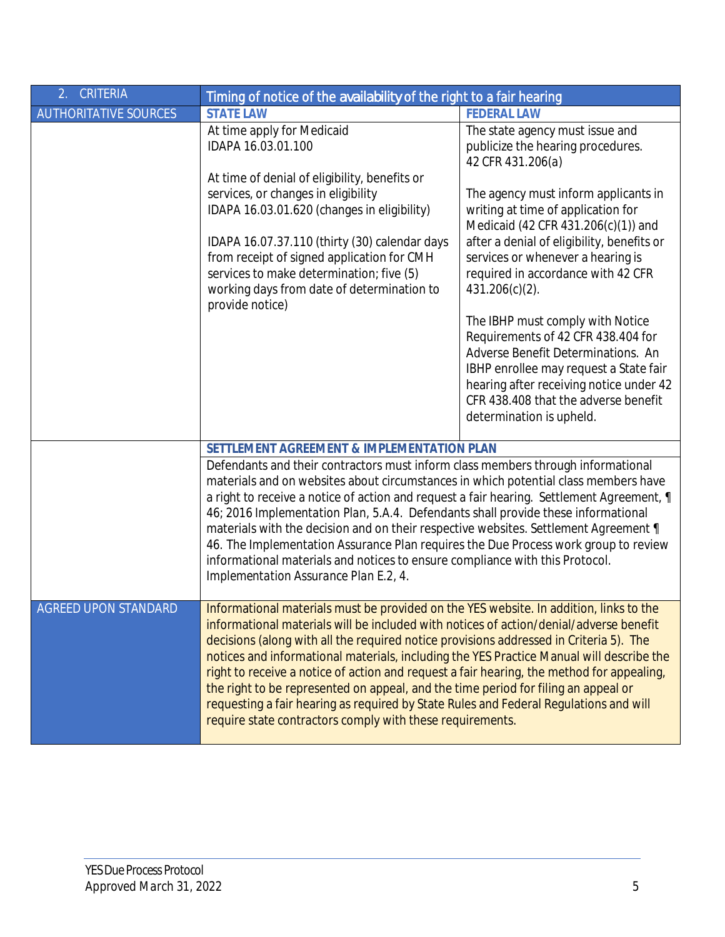<span id="page-4-0"></span>

| 2. CRITERIA                  | Timing of notice of the availability of the right to a fair hearing                                                                                                                                                                                                                                                                                                                                                                                                                                                                                                                                                                                                                                             |                                                                                                                                                                                                                                                                                                                                                                                                                                                                                                                                                                                                                          |  |
|------------------------------|-----------------------------------------------------------------------------------------------------------------------------------------------------------------------------------------------------------------------------------------------------------------------------------------------------------------------------------------------------------------------------------------------------------------------------------------------------------------------------------------------------------------------------------------------------------------------------------------------------------------------------------------------------------------------------------------------------------------|--------------------------------------------------------------------------------------------------------------------------------------------------------------------------------------------------------------------------------------------------------------------------------------------------------------------------------------------------------------------------------------------------------------------------------------------------------------------------------------------------------------------------------------------------------------------------------------------------------------------------|--|
| <b>AUTHORITATIVE SOURCES</b> | <b>STATE LAW</b>                                                                                                                                                                                                                                                                                                                                                                                                                                                                                                                                                                                                                                                                                                | <b>FEDERAL LAW</b>                                                                                                                                                                                                                                                                                                                                                                                                                                                                                                                                                                                                       |  |
|                              | At time apply for Medicaid<br>IDAPA 16.03.01.100                                                                                                                                                                                                                                                                                                                                                                                                                                                                                                                                                                                                                                                                | The state agency must issue and<br>publicize the hearing procedures.<br>42 CFR 431.206(a)                                                                                                                                                                                                                                                                                                                                                                                                                                                                                                                                |  |
|                              | At time of denial of eligibility, benefits or<br>services, or changes in eligibility<br>IDAPA 16.03.01.620 (changes in eligibility)<br>IDAPA 16.07.37.110 (thirty (30) calendar days<br>from receipt of signed application for CMH<br>services to make determination; five (5)<br>working days from date of determination to<br>provide notice)                                                                                                                                                                                                                                                                                                                                                                 | The agency must inform applicants in<br>writing at time of application for<br>Medicaid (42 CFR 431.206(c)(1)) and<br>after a denial of eligibility, benefits or<br>services or whenever a hearing is<br>required in accordance with 42 CFR<br>$431.206(c)(2)$ .                                                                                                                                                                                                                                                                                                                                                          |  |
|                              |                                                                                                                                                                                                                                                                                                                                                                                                                                                                                                                                                                                                                                                                                                                 | The IBHP must comply with Notice<br>Requirements of 42 CFR 438.404 for<br>Adverse Benefit Determinations. An<br>IBHP enrollee may request a State fair<br>hearing after receiving notice under 42<br>CFR 438.408 that the adverse benefit<br>determination is upheld.                                                                                                                                                                                                                                                                                                                                                    |  |
|                              | SETTLEMENT AGREEMENT & IMPLEMENTATION PLAN                                                                                                                                                                                                                                                                                                                                                                                                                                                                                                                                                                                                                                                                      |                                                                                                                                                                                                                                                                                                                                                                                                                                                                                                                                                                                                                          |  |
|                              | Implementation Assurance Plan E.2, 4.                                                                                                                                                                                                                                                                                                                                                                                                                                                                                                                                                                                                                                                                           | Defendants and their contractors must inform class members through informational<br>materials and on websites about circumstances in which potential class members have<br>a right to receive a notice of action and request a fair hearing. Settlement Agreement, ¶<br>46; 2016 Implementation Plan, 5.A.4. Defendants shall provide these informational<br>materials with the decision and on their respective websites. Settlement Agreement ¶<br>46. The Implementation Assurance Plan requires the Due Process work group to review<br>informational materials and notices to ensure compliance with this Protocol. |  |
| <b>AGREED UPON STANDARD</b>  | Informational materials must be provided on the YES website. In addition, links to the<br>informational materials will be included with notices of action/denial/adverse benefit<br>decisions (along with all the required notice provisions addressed in Criteria 5). The<br>notices and informational materials, including the YES Practice Manual will describe the<br>right to receive a notice of action and request a fair hearing, the method for appealing,<br>the right to be represented on appeal, and the time period for filing an appeal or<br>requesting a fair hearing as required by State Rules and Federal Regulations and will<br>require state contractors comply with these requirements. |                                                                                                                                                                                                                                                                                                                                                                                                                                                                                                                                                                                                                          |  |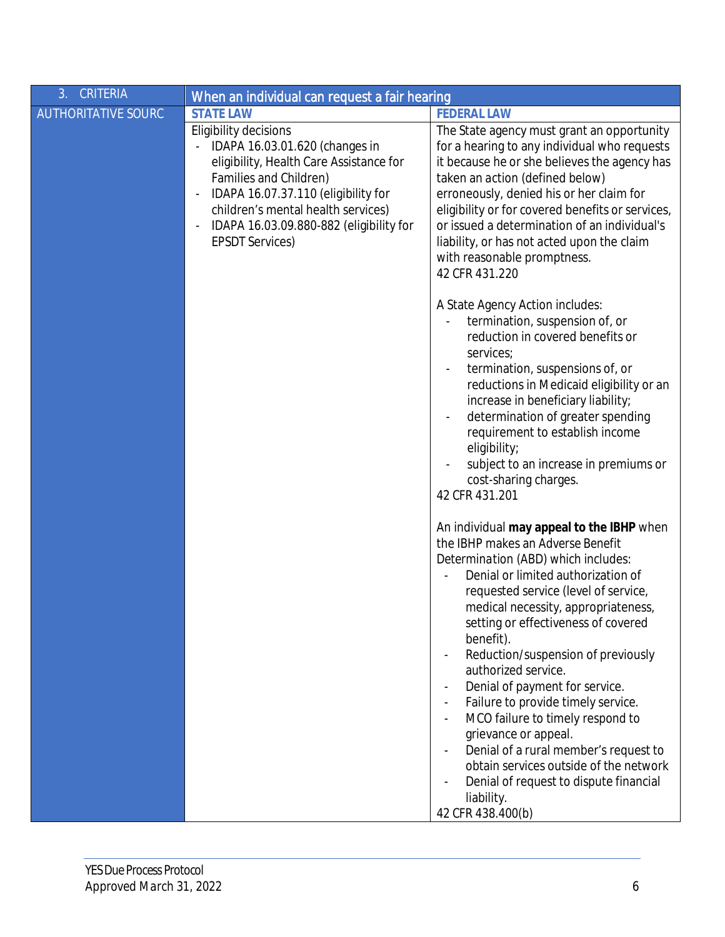<span id="page-5-0"></span>

| CRITERIA<br>3.             | When an individual can request a fair hearing                                                                                                                                                                                                                                  |                                                                                                                                                                                                                                                                                                                                                                                                                                                                                                                                                                                                                                                                 |  |
|----------------------------|--------------------------------------------------------------------------------------------------------------------------------------------------------------------------------------------------------------------------------------------------------------------------------|-----------------------------------------------------------------------------------------------------------------------------------------------------------------------------------------------------------------------------------------------------------------------------------------------------------------------------------------------------------------------------------------------------------------------------------------------------------------------------------------------------------------------------------------------------------------------------------------------------------------------------------------------------------------|--|
| <b>AUTHORITATIVE SOURC</b> | <b>STATE LAW</b>                                                                                                                                                                                                                                                               | <b>FEDERAL LAW</b>                                                                                                                                                                                                                                                                                                                                                                                                                                                                                                                                                                                                                                              |  |
|                            | Eligibility decisions<br>IDAPA 16.03.01.620 (changes in<br>eligibility, Health Care Assistance for<br>Families and Children)<br>IDAPA 16.07.37.110 (eligibility for<br>children's mental health services)<br>IDAPA 16.03.09.880-882 (eligibility for<br><b>EPSDT Services)</b> | The State agency must grant an opportunity<br>for a hearing to any individual who requests<br>it because he or she believes the agency has<br>taken an <i>action</i> (defined below)<br>erroneously, denied his or her claim for<br>eligibility or for covered benefits or services,<br>or issued a determination of an individual's<br>liability, or has not acted upon the claim<br>with reasonable promptness.<br>42 CFR 431.220                                                                                                                                                                                                                             |  |
|                            |                                                                                                                                                                                                                                                                                | A State Agency Action includes:<br>termination, suspension of, or<br>reduction in covered benefits or<br>services;<br>termination, suspensions of, or<br>reductions in Medicaid eligibility or an<br>increase in beneficiary liability;<br>determination of greater spending<br>requirement to establish income<br>eligibility;<br>subject to an increase in premiums or<br>cost-sharing charges.<br>42 CFR 431.201                                                                                                                                                                                                                                             |  |
|                            |                                                                                                                                                                                                                                                                                | An individual may appeal to the IBHP when<br>the IBHP makes an Adverse Benefit<br>Determination (ABD) which includes:<br>Denial or limited authorization of<br>requested service (level of service,<br>medical necessity, appropriateness,<br>setting or effectiveness of covered<br>benefit).<br>Reduction/suspension of previously<br>authorized service.<br>Denial of payment for service.<br>Failure to provide timely service.<br>MCO failure to timely respond to<br>grievance or appeal.<br>Denial of a rural member's request to<br>obtain services outside of the network<br>Denial of request to dispute financial<br>liability.<br>42 CFR 438.400(b) |  |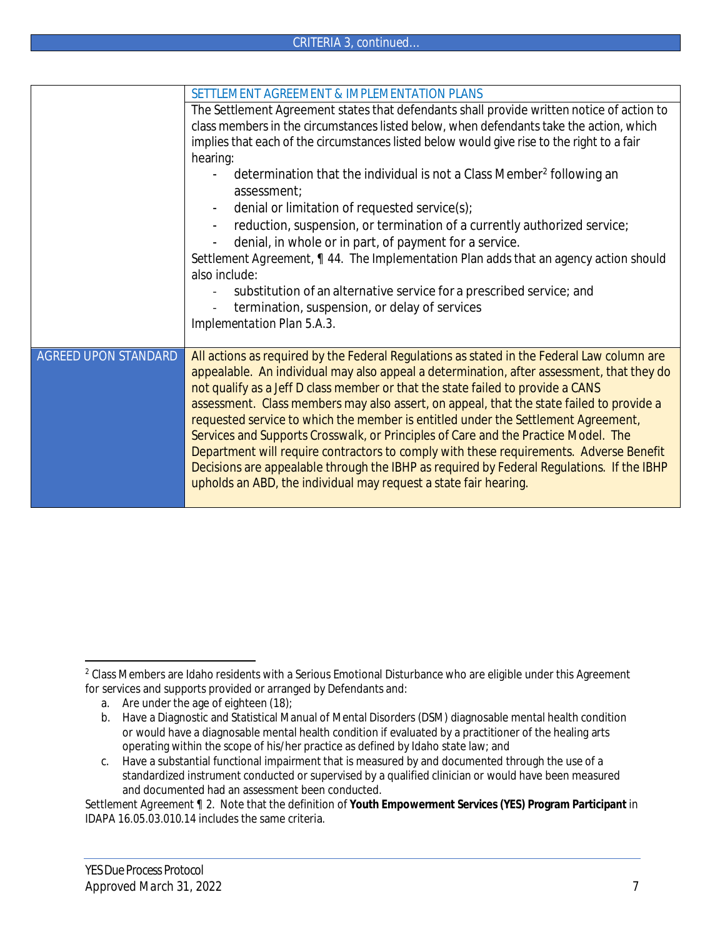#### CRITERIA 3, *continued…*

| <b>SETTLEMENT AGREEMENT &amp; IMPLEMENTATION PLANS</b>                                                                                                                                                                                                                                                                                                                                                                                                                                                                                                                                                                                                                                                                                                                                                       |
|--------------------------------------------------------------------------------------------------------------------------------------------------------------------------------------------------------------------------------------------------------------------------------------------------------------------------------------------------------------------------------------------------------------------------------------------------------------------------------------------------------------------------------------------------------------------------------------------------------------------------------------------------------------------------------------------------------------------------------------------------------------------------------------------------------------|
| The Settlement Agreement states that defendants shall provide written notice of action to                                                                                                                                                                                                                                                                                                                                                                                                                                                                                                                                                                                                                                                                                                                    |
| class members in the circumstances listed below, when defendants take the action, which                                                                                                                                                                                                                                                                                                                                                                                                                                                                                                                                                                                                                                                                                                                      |
| implies that each of the circumstances listed below would give rise to the right to a fair                                                                                                                                                                                                                                                                                                                                                                                                                                                                                                                                                                                                                                                                                                                   |
| hearing:                                                                                                                                                                                                                                                                                                                                                                                                                                                                                                                                                                                                                                                                                                                                                                                                     |
| determination that the individual is not a Class Member <sup>2</sup> following an<br>assessment;                                                                                                                                                                                                                                                                                                                                                                                                                                                                                                                                                                                                                                                                                                             |
|                                                                                                                                                                                                                                                                                                                                                                                                                                                                                                                                                                                                                                                                                                                                                                                                              |
| denial or limitation of requested service(s);                                                                                                                                                                                                                                                                                                                                                                                                                                                                                                                                                                                                                                                                                                                                                                |
| reduction, suspension, or termination of a currently authorized service;                                                                                                                                                                                                                                                                                                                                                                                                                                                                                                                                                                                                                                                                                                                                     |
| denial, in whole or in part, of payment for a service.                                                                                                                                                                                                                                                                                                                                                                                                                                                                                                                                                                                                                                                                                                                                                       |
| Settlement Agreement, 1 44. The Implementation Plan adds that an agency action should<br>also include:                                                                                                                                                                                                                                                                                                                                                                                                                                                                                                                                                                                                                                                                                                       |
| substitution of an alternative service for a prescribed service; and                                                                                                                                                                                                                                                                                                                                                                                                                                                                                                                                                                                                                                                                                                                                         |
| termination, suspension, or delay of services                                                                                                                                                                                                                                                                                                                                                                                                                                                                                                                                                                                                                                                                                                                                                                |
| Implementation Plan 5.A.3.                                                                                                                                                                                                                                                                                                                                                                                                                                                                                                                                                                                                                                                                                                                                                                                   |
|                                                                                                                                                                                                                                                                                                                                                                                                                                                                                                                                                                                                                                                                                                                                                                                                              |
| All actions as required by the Federal Regulations as stated in the Federal Law column are<br>appealable. An individual may also appeal a determination, after assessment, that they do<br>not qualify as a Jeff D class member or that the state failed to provide a CANS<br>assessment. Class members may also assert, on appeal, that the state failed to provide a<br>requested service to which the member is entitled under the Settlement Agreement,<br>Services and Supports Crosswalk, or Principles of Care and the Practice Model. The<br>Department will require contractors to comply with these requirements. Adverse Benefit<br>Decisions are appealable through the IBHP as required by Federal Regulations. If the IBHP<br>upholds an ABD, the individual may request a state fair hearing. |
|                                                                                                                                                                                                                                                                                                                                                                                                                                                                                                                                                                                                                                                                                                                                                                                                              |

*Settlement Agreement ¶ 2*. Note that the definition of **Youth Empowerment Services (YES) Program Participant** in *IDAPA 16.05.03.010.14* includes the same criteria.

<span id="page-6-0"></span> $^{\rm 2}$  Class Members are Idaho residents with a Serious Emotional Disturbance who are eligible under this Agreement for services and supports provided or arranged by Defendants and:

a. Are under the age of eighteen (18);

b. Have a Diagnostic and Statistical Manual of Mental Disorders (DSM) diagnosable mental health condition or would have a diagnosable mental health condition if evaluated by a practitioner of the healing arts operating within the scope of his/her practice as defined by Idaho state law; and

c. Have a substantial functional impairment that is measured by and documented through the use of a standardized instrument conducted or supervised by a qualified clinician or would have been measured and documented had an assessment been conducted.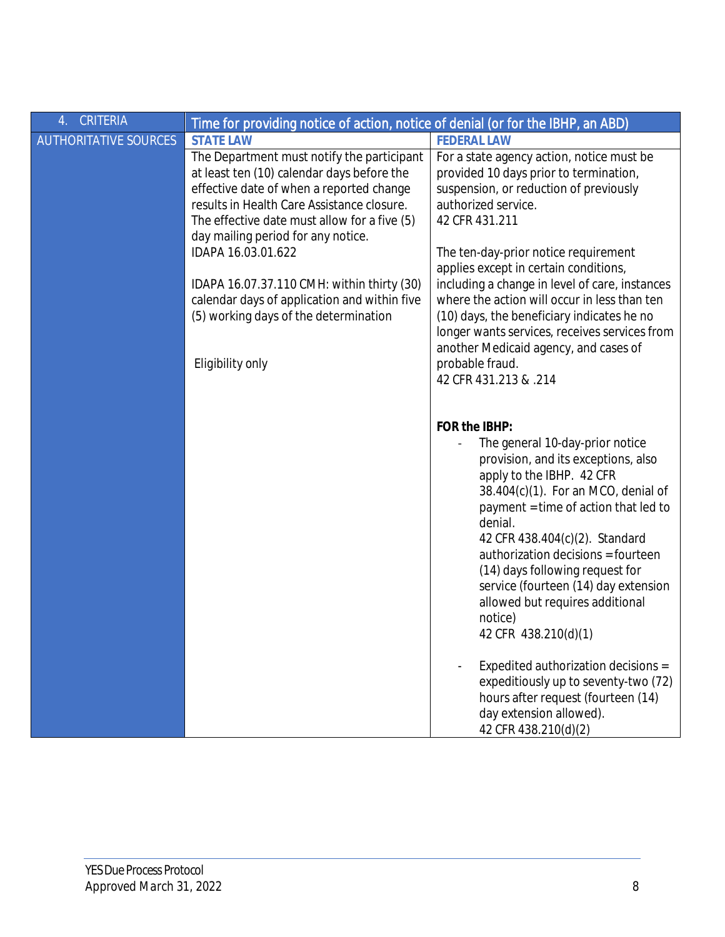<span id="page-7-0"></span>

| CRITERIA<br>4.               | Time for providing notice of action, notice of denial (or for the IBHP, an ABD) |                                                                               |  |
|------------------------------|---------------------------------------------------------------------------------|-------------------------------------------------------------------------------|--|
| <b>AUTHORITATIVE SOURCES</b> | <b>STATE LAW</b>                                                                | <b>FEDERAL LAW</b>                                                            |  |
|                              | The Department must notify the participant                                      | For a state agency action, notice must be                                     |  |
|                              | at least ten (10) calendar days before the                                      | provided 10 days prior to termination,                                        |  |
|                              | effective date of when a reported change                                        | suspension, or reduction of previously                                        |  |
|                              | results in Health Care Assistance closure.                                      | authorized service.                                                           |  |
|                              | The effective date must allow for a five (5)                                    | 42 CFR 431.211                                                                |  |
|                              | day mailing period for any notice.                                              |                                                                               |  |
|                              | IDAPA 16.03.01.622                                                              | The ten-day-prior notice requirement<br>applies except in certain conditions, |  |
|                              | IDAPA 16.07.37.110 CMH: within thirty (30)                                      | including a change in level of care, instances                                |  |
|                              | calendar days of application and within five                                    | where the action will occur in less than ten                                  |  |
|                              | (5) working days of the determination                                           | (10) days, the beneficiary indicates he no                                    |  |
|                              |                                                                                 | longer wants services, receives services from                                 |  |
|                              |                                                                                 | another Medicaid agency, and cases of                                         |  |
|                              | Eligibility only                                                                | probable fraud.                                                               |  |
|                              |                                                                                 | 42 CFR 431.213 & .214                                                         |  |
|                              |                                                                                 |                                                                               |  |
|                              |                                                                                 |                                                                               |  |
|                              |                                                                                 | FOR the IBHP:                                                                 |  |
|                              |                                                                                 | The general 10-day-prior notice                                               |  |
|                              |                                                                                 | provision, and its exceptions, also<br>apply to the IBHP. 42 CFR              |  |
|                              |                                                                                 | 38.404(c)(1). For an MCO, denial of                                           |  |
|                              |                                                                                 | payment = time of action that led to                                          |  |
|                              |                                                                                 | denial.                                                                       |  |
|                              |                                                                                 | 42 CFR 438.404(c)(2). Standard                                                |  |
|                              |                                                                                 | authorization decisions = fourteen                                            |  |
|                              |                                                                                 | (14) days following request for                                               |  |
|                              |                                                                                 | service (fourteen (14) day extension                                          |  |
|                              |                                                                                 | allowed but requires additional                                               |  |
|                              |                                                                                 | notice)                                                                       |  |
|                              |                                                                                 | 42 CFR 438.210(d)(1)                                                          |  |
|                              |                                                                                 | Expedited authorization decisions =                                           |  |
|                              |                                                                                 | expeditiously up to seventy-two (72)                                          |  |
|                              |                                                                                 | hours after request (fourteen (14)                                            |  |
|                              |                                                                                 | day extension allowed).                                                       |  |
|                              |                                                                                 | 42 CFR 438.210(d)(2)                                                          |  |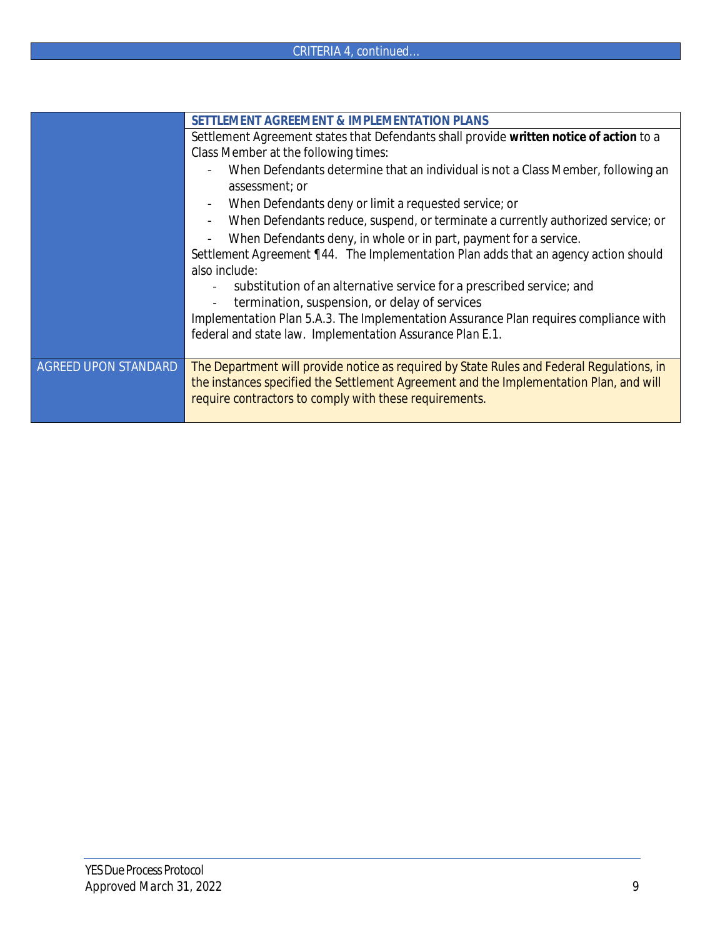# CRITERIA 4, *continued…*

|                             | SETTLEMENT AGREEMENT & IMPLEMENTATION PLANS                                                        |
|-----------------------------|----------------------------------------------------------------------------------------------------|
|                             | Settlement Agreement states that Defendants shall provide written notice of action to a            |
|                             | Class Member at the following times:                                                               |
|                             | When Defendants determine that an individual is not a Class Member, following an<br>assessment; or |
|                             | When Defendants deny or limit a requested service; or                                              |
|                             | When Defendants reduce, suspend, or terminate a currently authorized service; or                   |
|                             | When Defendants deny, in whole or in part, payment for a service.                                  |
|                             | Settlement Agreement ¶44. The Implementation Plan adds that an agency action should                |
|                             | also include:                                                                                      |
|                             | substitution of an alternative service for a prescribed service; and                               |
|                             | termination, suspension, or delay of services<br>$\overline{\phantom{0}}$                          |
|                             | Implementation Plan 5.A.3. The Implementation Assurance Plan requires compliance with              |
|                             | federal and state law. Implementation Assurance Plan E.1.                                          |
|                             |                                                                                                    |
| <b>AGREED UPON STANDARD</b> | The Department will provide notice as required by State Rules and Federal Regulations, in          |
|                             | the instances specified the Settlement Agreement and the Implementation Plan, and will             |
|                             | require contractors to comply with these requirements.                                             |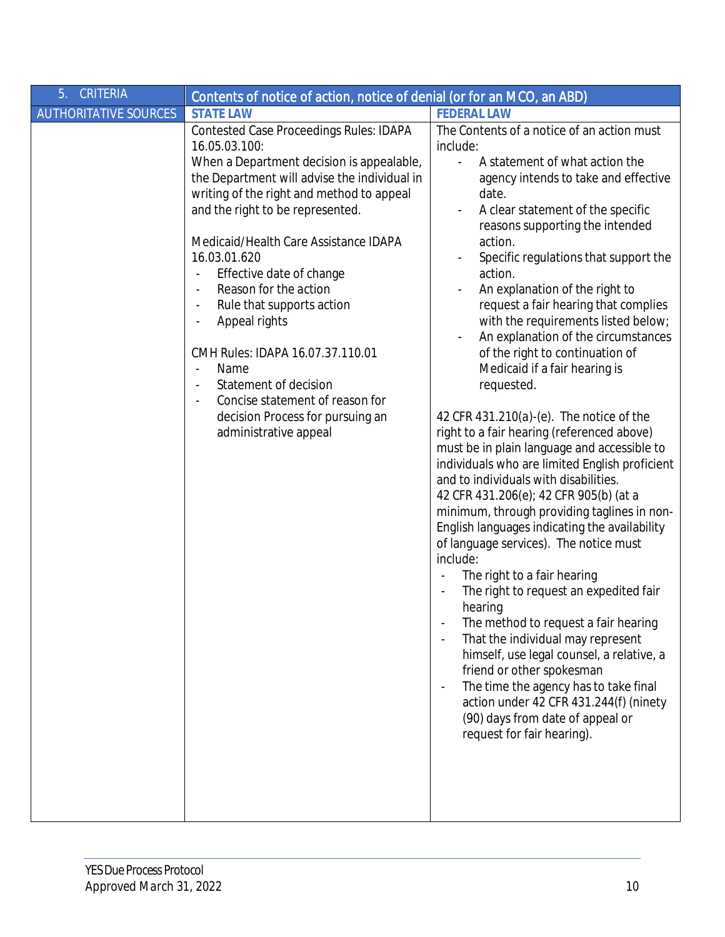<span id="page-9-0"></span>

| 5.<br>CRITERIA               | Contents of notice of action, notice of denial (or for an MCO, an ABD) |                                                                                           |
|------------------------------|------------------------------------------------------------------------|-------------------------------------------------------------------------------------------|
| <b>AUTHORITATIVE SOURCES</b> | <b>STATE LAW</b>                                                       | <b>FEDERAL LAW</b>                                                                        |
|                              | Contested Case Proceedings Rules: IDAPA                                | The Contents of a notice of an action must                                                |
|                              | 16.05.03.100:                                                          | include:                                                                                  |
|                              | When a Department decision is appealable,                              | A statement of what action the                                                            |
|                              | the Department will advise the individual in                           | agency intends to take and effective                                                      |
|                              | writing of the right and method to appeal                              | date.                                                                                     |
|                              | and the right to be represented.                                       | A clear statement of the specific<br>reasons supporting the intended                      |
|                              | Medicaid/Health Care Assistance IDAPA                                  | action.                                                                                   |
|                              | 16.03.01.620                                                           | Specific regulations that support the                                                     |
|                              | Effective date of change                                               | action.                                                                                   |
|                              | Reason for the action<br>$\overline{\phantom{m}}$                      | An explanation of the right to                                                            |
|                              | Rule that supports action<br>$\overline{\phantom{a}}$                  | request a fair hearing that complies                                                      |
|                              | Appeal rights                                                          | with the requirements listed below;                                                       |
|                              |                                                                        | An explanation of the circumstances                                                       |
|                              | CMH Rules: IDAPA 16.07.37.110.01                                       | of the right to continuation of                                                           |
|                              | Name<br>$\overline{a}$                                                 | Medicaid if a fair hearing is                                                             |
|                              | Statement of decision<br>$\overline{a}$                                | requested.                                                                                |
|                              | Concise statement of reason for                                        |                                                                                           |
|                              | decision Process for pursuing an                                       | 42 CFR 431.210(a)-(e). The notice of the                                                  |
|                              | administrative appeal                                                  | right to a fair hearing (referenced above)<br>must be in plain language and accessible to |
|                              |                                                                        | individuals who are limited English proficient                                            |
|                              |                                                                        | and to individuals with disabilities.                                                     |
|                              |                                                                        | 42 CFR 431.206(e); 42 CFR 905(b) (at a                                                    |
|                              |                                                                        | minimum, through providing taglines in non-                                               |
|                              |                                                                        | English languages indicating the availability                                             |
|                              |                                                                        | of language services). The notice must                                                    |
|                              |                                                                        | include:                                                                                  |
|                              |                                                                        | The right to a fair hearing                                                               |
|                              |                                                                        | The right to request an expedited fair                                                    |
|                              |                                                                        | hearing                                                                                   |
|                              |                                                                        | The method to request a fair hearing<br>That the individual may represent                 |
|                              |                                                                        | himself, use legal counsel, a relative, a                                                 |
|                              |                                                                        | friend or other spokesman                                                                 |
|                              |                                                                        | The time the agency has to take final<br>$\overline{a}$                                   |
|                              |                                                                        | action under 42 CFR 431.244(f) (ninety                                                    |
|                              |                                                                        | (90) days from date of appeal or                                                          |
|                              |                                                                        | request for fair hearing).                                                                |
|                              |                                                                        |                                                                                           |
|                              |                                                                        |                                                                                           |
|                              |                                                                        |                                                                                           |
|                              |                                                                        |                                                                                           |
|                              |                                                                        |                                                                                           |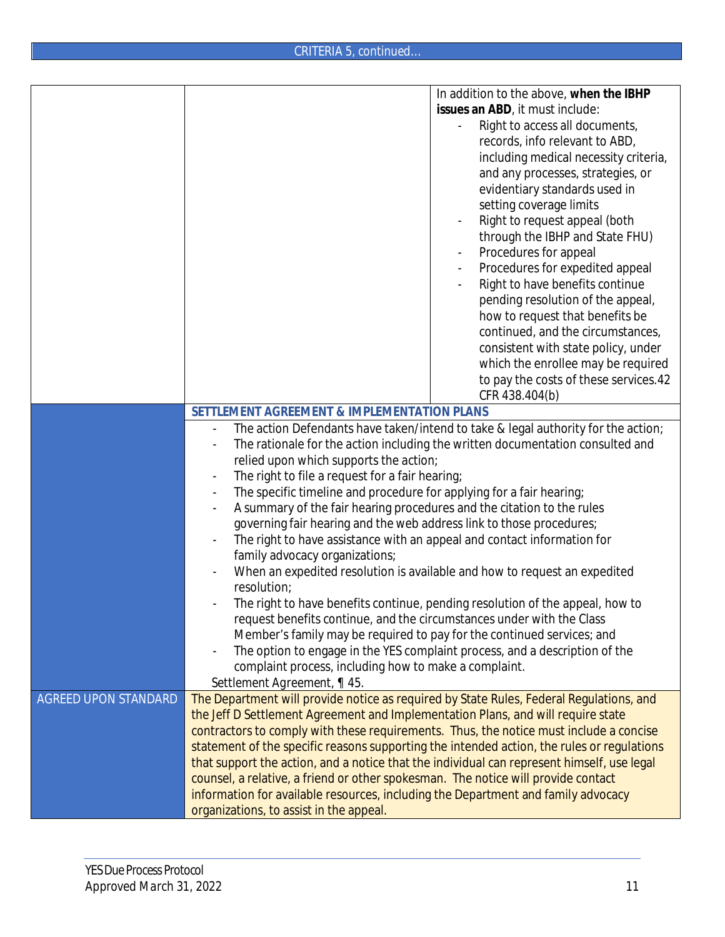|                      |                                                                                                                                                                                      | In addition to the above, when the IBHP                                           |
|----------------------|--------------------------------------------------------------------------------------------------------------------------------------------------------------------------------------|-----------------------------------------------------------------------------------|
|                      |                                                                                                                                                                                      | issues an ABD, it must include:                                                   |
|                      |                                                                                                                                                                                      | Right to access all documents,                                                    |
|                      |                                                                                                                                                                                      | records, info relevant to ABD,                                                    |
|                      |                                                                                                                                                                                      | including medical necessity criteria,                                             |
|                      |                                                                                                                                                                                      | and any processes, strategies, or                                                 |
|                      |                                                                                                                                                                                      | evidentiary standards used in                                                     |
|                      |                                                                                                                                                                                      | setting coverage limits                                                           |
|                      |                                                                                                                                                                                      | Right to request appeal (both                                                     |
|                      |                                                                                                                                                                                      | through the IBHP and State FHU)                                                   |
|                      |                                                                                                                                                                                      | Procedures for appeal                                                             |
|                      |                                                                                                                                                                                      | Procedures for expedited appeal                                                   |
|                      |                                                                                                                                                                                      | Right to have benefits continue                                                   |
|                      |                                                                                                                                                                                      | pending resolution of the appeal,                                                 |
|                      |                                                                                                                                                                                      | how to request that benefits be                                                   |
|                      |                                                                                                                                                                                      | continued, and the circumstances,                                                 |
|                      |                                                                                                                                                                                      | consistent with state policy, under                                               |
|                      |                                                                                                                                                                                      | which the enrollee may be required                                                |
|                      |                                                                                                                                                                                      | to pay the costs of these services. 42                                            |
|                      |                                                                                                                                                                                      | CFR 438.404(b)                                                                    |
|                      | SETTLEMENT AGREEMENT & IMPLEMENTATION PLANS                                                                                                                                          |                                                                                   |
|                      |                                                                                                                                                                                      | The action Defendants have taken/intend to take & legal authority for the action; |
|                      |                                                                                                                                                                                      | The rationale for the action including the written documentation consulted and    |
|                      | relied upon which supports the action;                                                                                                                                               |                                                                                   |
|                      | The right to file a request for a fair hearing;                                                                                                                                      |                                                                                   |
|                      | The specific timeline and procedure for applying for a fair hearing;                                                                                                                 |                                                                                   |
|                      | A summary of the fair hearing procedures and the citation to the rules                                                                                                               |                                                                                   |
|                      | governing fair hearing and the web address link to those procedures;                                                                                                                 |                                                                                   |
|                      | The right to have assistance with an appeal and contact information for                                                                                                              |                                                                                   |
|                      | family advocacy organizations;                                                                                                                                                       |                                                                                   |
|                      |                                                                                                                                                                                      | When an expedited resolution is available and how to request an expedited         |
|                      | resolution;                                                                                                                                                                          |                                                                                   |
|                      |                                                                                                                                                                                      | The right to have benefits continue, pending resolution of the appeal, how to     |
|                      | request benefits continue, and the circumstances under with the Class                                                                                                                |                                                                                   |
|                      | Member's family may be required to pay for the continued services; and                                                                                                               |                                                                                   |
|                      |                                                                                                                                                                                      | The option to engage in the YES complaint process, and a description of the       |
|                      | complaint process, including how to make a complaint.                                                                                                                                |                                                                                   |
|                      | Settlement Agreement, ¶ 45.                                                                                                                                                          |                                                                                   |
| AGREED UPON STANDARD | The Department will provide notice as required by State Rules, Federal Regulations, and                                                                                              |                                                                                   |
|                      | the Jeff D Settlement Agreement and Implementation Plans, and will require state                                                                                                     |                                                                                   |
|                      | contractors to comply with these requirements. Thus, the notice must include a concise<br>statement of the specific reasons supporting the intended action, the rules or regulations |                                                                                   |
|                      | that support the action, and a notice that the individual can represent himself, use legal                                                                                           |                                                                                   |
|                      | counsel, a relative, a friend or other spokesman. The notice will provide contact                                                                                                    |                                                                                   |
|                      | information for available resources, including the Department and family advocacy                                                                                                    |                                                                                   |
|                      | organizations, to assist in the appeal.                                                                                                                                              |                                                                                   |
|                      |                                                                                                                                                                                      |                                                                                   |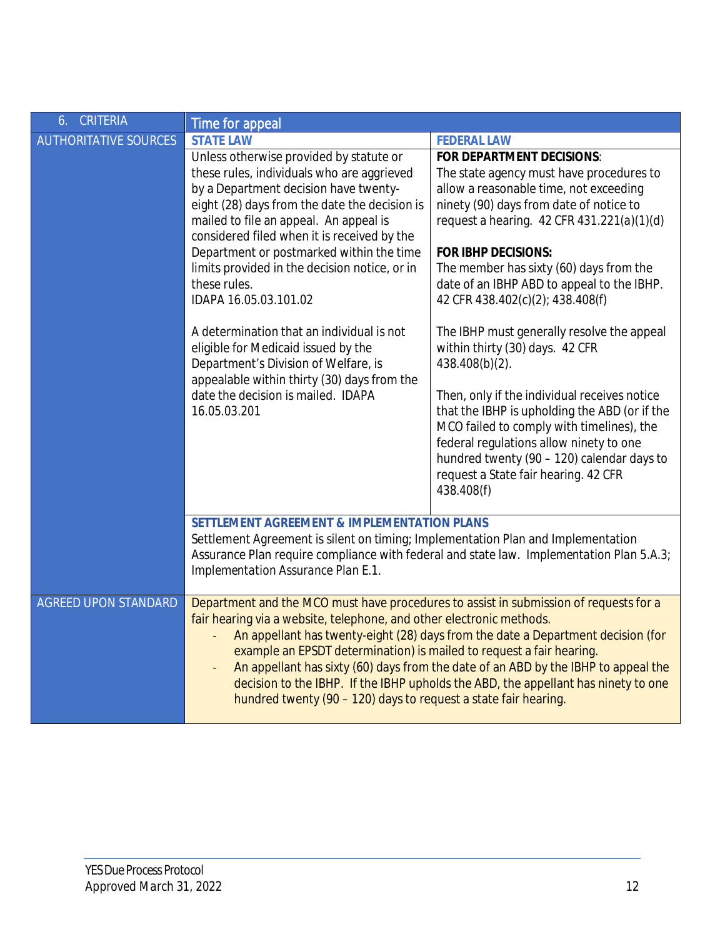<span id="page-11-0"></span>

| 6. CRITERIA                  | <b>Time for appeal</b>                                                                   |                                                                                    |  |
|------------------------------|------------------------------------------------------------------------------------------|------------------------------------------------------------------------------------|--|
| <b>AUTHORITATIVE SOURCES</b> | <b>STATE LAW</b>                                                                         | <b>FEDERAL LAW</b>                                                                 |  |
|                              | Unless otherwise provided by statute or                                                  | FOR DEPARTMENT DECISIONS:                                                          |  |
|                              | these rules, individuals who are aggrieved                                               | The state agency must have procedures to                                           |  |
|                              | by a Department decision have twenty-                                                    | allow a reasonable time, not exceeding                                             |  |
|                              | eight (28) days from the date the decision is                                            | ninety (90) days from date of notice to                                            |  |
|                              | mailed to file an appeal. An appeal is<br>considered filed when it is received by the    | request a hearing. 42 CFR 431.221(a)(1)(d)                                         |  |
|                              | Department or postmarked within the time                                                 | FOR IBHP DECISIONS:                                                                |  |
|                              | limits provided in the decision notice, or in                                            | The member has sixty (60) days from the                                            |  |
|                              | these rules.                                                                             | date of an IBHP ABD to appeal to the IBHP.                                         |  |
|                              | IDAPA 16.05.03.101.02                                                                    | 42 CFR 438.402(c)(2); 438.408(f)                                                   |  |
|                              |                                                                                          |                                                                                    |  |
|                              | A determination that an individual is not                                                | The IBHP must generally resolve the appeal                                         |  |
|                              | eligible for Medicaid issued by the<br>Department's Division of Welfare, is              | within thirty (30) days. 42 CFR<br>438.408(b)(2).                                  |  |
|                              | appealable within thirty (30) days from the                                              |                                                                                    |  |
|                              | date the decision is mailed. IDAPA                                                       | Then, only if the individual receives notice                                       |  |
|                              | 16.05.03.201                                                                             | that the IBHP is upholding the ABD (or if the                                      |  |
|                              |                                                                                          | MCO failed to comply with timelines), the                                          |  |
|                              |                                                                                          | federal regulations allow ninety to one                                            |  |
|                              |                                                                                          | hundred twenty (90 - 120) calendar days to                                         |  |
|                              |                                                                                          | request a State fair hearing. 42 CFR<br>438.408(f)                                 |  |
|                              |                                                                                          |                                                                                    |  |
|                              | SETTLEMENT AGREEMENT & IMPLEMENTATION PLANS                                              |                                                                                    |  |
|                              | Settlement Agreement is silent on timing; Implementation Plan and Implementation         |                                                                                    |  |
|                              | Assurance Plan require compliance with federal and state law. Implementation Plan 5.A.3; |                                                                                    |  |
|                              | Implementation Assurance Plan E.1.                                                       |                                                                                    |  |
| AGREED UPON STANDARD         | Department and the MCO must have procedures to assist in submission of requests for a    |                                                                                    |  |
|                              | fair hearing via a website, telephone, and other electronic methods.                     |                                                                                    |  |
|                              |                                                                                          | An appellant has twenty-eight (28) days from the date a Department decision (for   |  |
|                              | example an EPSDT determination) is mailed to request a fair hearing.                     |                                                                                    |  |
|                              |                                                                                          | An appellant has sixty (60) days from the date of an ABD by the IBHP to appeal the |  |
|                              |                                                                                          | decision to the IBHP. If the IBHP upholds the ABD, the appellant has ninety to one |  |
|                              | hundred twenty (90 - 120) days to request a state fair hearing.                          |                                                                                    |  |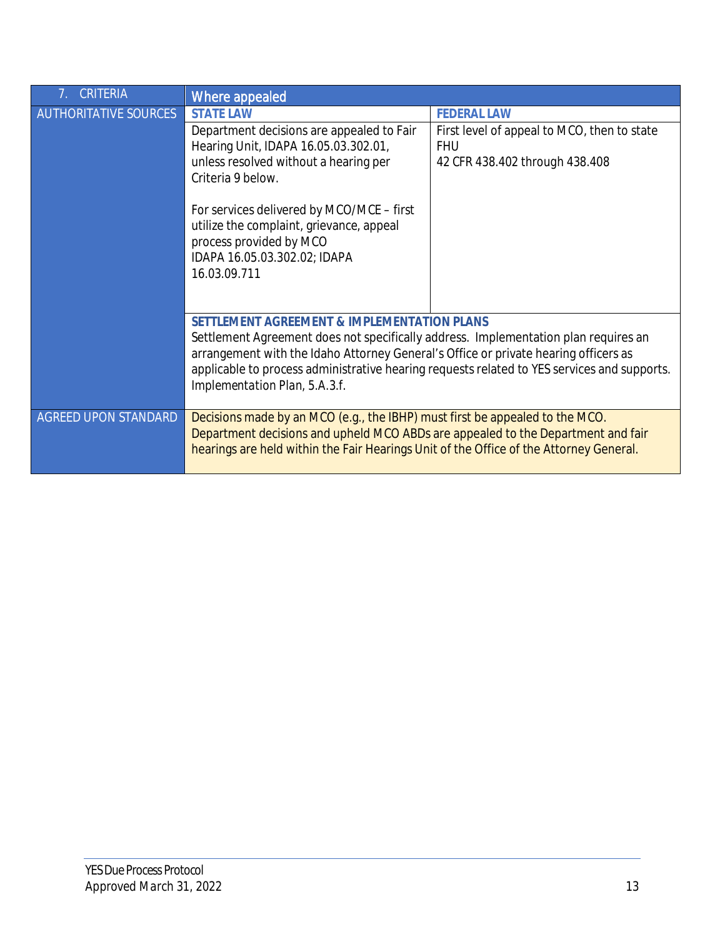<span id="page-12-0"></span>

| 7. CRITERIA                  | <b>Where appealed</b>                                                                                                                                                                                                                                      |                                                                                             |
|------------------------------|------------------------------------------------------------------------------------------------------------------------------------------------------------------------------------------------------------------------------------------------------------|---------------------------------------------------------------------------------------------|
| <b>AUTHORITATIVE SOURCES</b> | <b>STATE LAW</b>                                                                                                                                                                                                                                           | <b>FEDERAL LAW</b>                                                                          |
|                              | Department decisions are appealed to Fair                                                                                                                                                                                                                  | First level of appeal to MCO, then to state                                                 |
|                              | Hearing Unit, IDAPA 16.05.03.302.01,                                                                                                                                                                                                                       | <b>FHU</b>                                                                                  |
|                              | unless resolved without a hearing per<br>Criteria 9 below.                                                                                                                                                                                                 | 42 CFR 438.402 through 438.408                                                              |
|                              | For services delivered by MCO/MCE – first<br>utilize the complaint, grievance, appeal<br>process provided by MCO<br>IDAPA 16.05.03.302.02; IDAPA<br>16.03.09.711                                                                                           |                                                                                             |
|                              |                                                                                                                                                                                                                                                            |                                                                                             |
|                              | SETTLEMENT AGREEMENT & IMPLEMENTATION PLANS<br>Settlement Agreement does not specifically address. Implementation plan requires an<br>arrangement with the Idaho Attorney General's Office or private hearing officers as<br>Implementation Plan, 5.A.3.f. | applicable to process administrative hearing requests related to YES services and supports. |
| AGREED UPON STANDARD         | Decisions made by an MCO (e.g., the IBHP) must first be appealed to the MCO.<br>Department decisions and upheld MCO ABDs are appealed to the Department and fair<br>hearings are held within the Fair Hearings Unit of the Office of the Attorney General. |                                                                                             |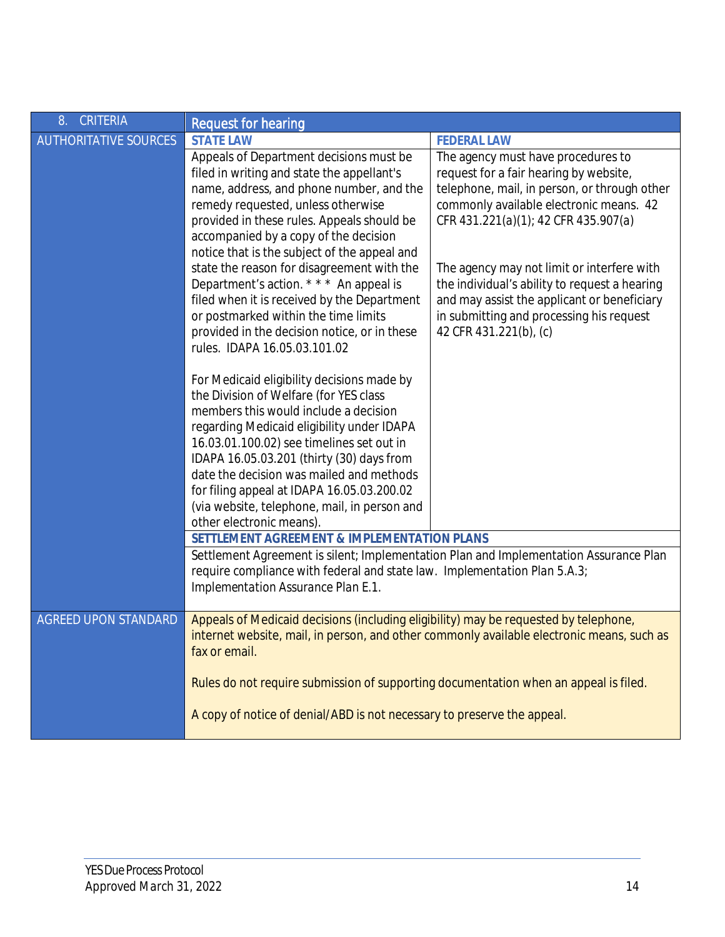<span id="page-13-0"></span>

| 8. CRITERIA                  | <b>Request for hearing</b>                                                                                                                                                        |                                                                                             |  |
|------------------------------|-----------------------------------------------------------------------------------------------------------------------------------------------------------------------------------|---------------------------------------------------------------------------------------------|--|
| <b>AUTHORITATIVE SOURCES</b> | <b>STATE LAW</b>                                                                                                                                                                  | <b>FEDERAL LAW</b>                                                                          |  |
|                              | Appeals of Department decisions must be                                                                                                                                           | The agency must have procedures to                                                          |  |
|                              | filed in writing and state the appellant's                                                                                                                                        | request for a fair hearing by website,                                                      |  |
|                              | name, address, and phone number, and the                                                                                                                                          | telephone, mail, in person, or through other                                                |  |
|                              | remedy requested, unless otherwise                                                                                                                                                | commonly available electronic means. 42                                                     |  |
|                              | provided in these rules. Appeals should be                                                                                                                                        | CFR 431.221(a)(1); 42 CFR 435.907(a)                                                        |  |
|                              | accompanied by a copy of the decision                                                                                                                                             |                                                                                             |  |
|                              | notice that is the subject of the appeal and                                                                                                                                      |                                                                                             |  |
|                              | state the reason for disagreement with the<br>Department's action. * * * An appeal is                                                                                             | The agency may not limit or interfere with<br>the individual's ability to request a hearing |  |
|                              | filed when it is received by the Department                                                                                                                                       | and may assist the applicant or beneficiary                                                 |  |
|                              | or postmarked within the time limits                                                                                                                                              | in submitting and processing his request                                                    |  |
|                              | provided in the decision notice, or in these                                                                                                                                      | 42 CFR 431.221(b), (c)                                                                      |  |
|                              | rules. IDAPA 16.05.03.101.02                                                                                                                                                      |                                                                                             |  |
|                              |                                                                                                                                                                                   |                                                                                             |  |
|                              | For Medicaid eligibility decisions made by                                                                                                                                        |                                                                                             |  |
|                              | the Division of Welfare (for YES class                                                                                                                                            |                                                                                             |  |
|                              | members this would include a decision                                                                                                                                             |                                                                                             |  |
|                              | regarding Medicaid eligibility under IDAPA                                                                                                                                        |                                                                                             |  |
|                              | 16.03.01.100.02) see timelines set out in                                                                                                                                         |                                                                                             |  |
|                              | IDAPA 16.05.03.201 (thirty (30) days from<br>date the decision was mailed and methods                                                                                             |                                                                                             |  |
|                              | for filing appeal at IDAPA 16.05.03.200.02                                                                                                                                        |                                                                                             |  |
|                              | (via website, telephone, mail, in person and                                                                                                                                      |                                                                                             |  |
|                              | other electronic means).                                                                                                                                                          |                                                                                             |  |
|                              | SETTLEMENT AGREEMENT & IMPLEMENTATION PLANS                                                                                                                                       |                                                                                             |  |
|                              | Settlement Agreement is silent; Implementation Plan and Implementation Assurance Plan                                                                                             |                                                                                             |  |
|                              | require compliance with federal and state law. Implementation Plan 5.A.3;                                                                                                         |                                                                                             |  |
|                              | Implementation Assurance Plan E.1.                                                                                                                                                |                                                                                             |  |
|                              |                                                                                                                                                                                   |                                                                                             |  |
| <b>AGREED UPON STANDARD</b>  | Appeals of Medicaid decisions (including eligibility) may be requested by telephone,<br>internet website, mail, in person, and other commonly available electronic means, such as |                                                                                             |  |
|                              | fax or email.                                                                                                                                                                     |                                                                                             |  |
|                              |                                                                                                                                                                                   |                                                                                             |  |
|                              | Rules do not require submission of supporting documentation when an appeal is filed.                                                                                              |                                                                                             |  |
|                              | A copy of notice of denial/ABD is not necessary to preserve the appeal.                                                                                                           |                                                                                             |  |
|                              |                                                                                                                                                                                   |                                                                                             |  |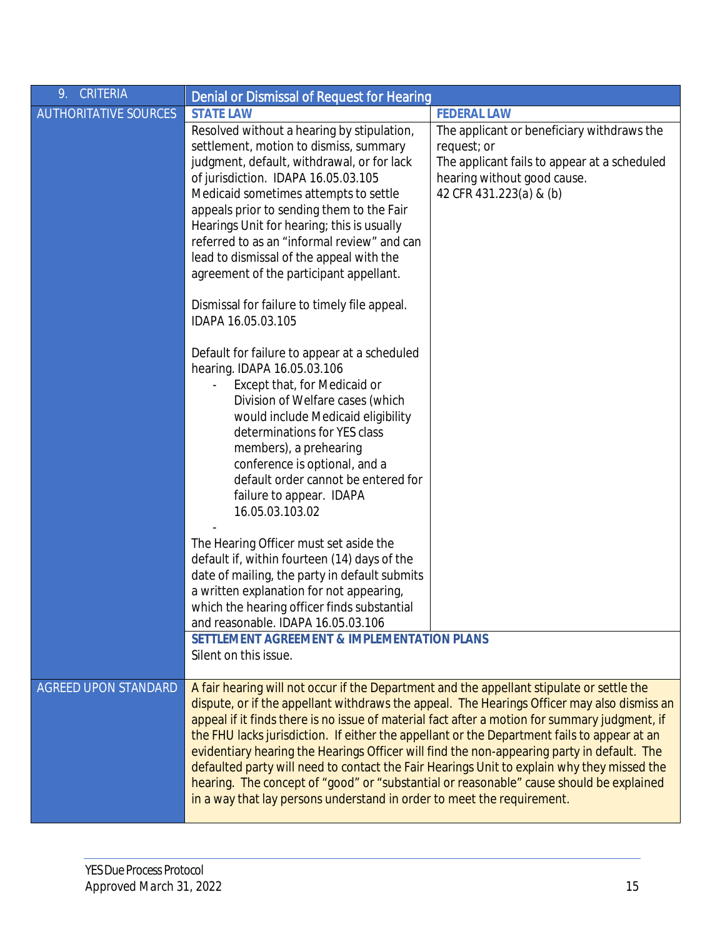<span id="page-14-0"></span>

| CRITERIA<br>9.               | <b>Denial or Dismissal of Request for Hearing</b>                                                                                                                                        |                                                                                             |
|------------------------------|------------------------------------------------------------------------------------------------------------------------------------------------------------------------------------------|---------------------------------------------------------------------------------------------|
| <b>AUTHORITATIVE SOURCES</b> | <b>STATE LAW</b>                                                                                                                                                                         | <b>FEDERAL LAW</b>                                                                          |
|                              | Resolved without a hearing by stipulation,                                                                                                                                               | The applicant or beneficiary withdraws the                                                  |
|                              | settlement, motion to dismiss, summary<br>judgment, default, withdrawal, or for lack                                                                                                     | request; or<br>The applicant fails to appear at a scheduled                                 |
|                              | of jurisdiction. IDAPA 16.05.03.105                                                                                                                                                      | hearing without good cause.                                                                 |
|                              | Medicaid sometimes attempts to settle                                                                                                                                                    | 42 CFR 431.223(a) & (b)                                                                     |
|                              | appeals prior to sending them to the Fair                                                                                                                                                |                                                                                             |
|                              | Hearings Unit for hearing; this is usually                                                                                                                                               |                                                                                             |
|                              | referred to as an "informal review" and can                                                                                                                                              |                                                                                             |
|                              | lead to dismissal of the appeal with the                                                                                                                                                 |                                                                                             |
|                              | agreement of the participant appellant.                                                                                                                                                  |                                                                                             |
|                              | Dismissal for failure to timely file appeal.                                                                                                                                             |                                                                                             |
|                              | IDAPA 16.05.03.105                                                                                                                                                                       |                                                                                             |
|                              | Default for failure to appear at a scheduled                                                                                                                                             |                                                                                             |
|                              | hearing. IDAPA 16.05.03.106                                                                                                                                                              |                                                                                             |
|                              | Except that, for Medicaid or<br>Division of Welfare cases (which                                                                                                                         |                                                                                             |
|                              | would include Medicaid eligibility                                                                                                                                                       |                                                                                             |
|                              | determinations for YES class                                                                                                                                                             |                                                                                             |
|                              | members), a prehearing                                                                                                                                                                   |                                                                                             |
|                              | conference is optional, and a                                                                                                                                                            |                                                                                             |
|                              | default order cannot be entered for                                                                                                                                                      |                                                                                             |
|                              | failure to appear. IDAPA<br>16.05.03.103.02                                                                                                                                              |                                                                                             |
|                              |                                                                                                                                                                                          |                                                                                             |
|                              | The Hearing Officer must set aside the                                                                                                                                                   |                                                                                             |
|                              | default if, within fourteen (14) days of the                                                                                                                                             |                                                                                             |
|                              | date of mailing, the party in default submits                                                                                                                                            |                                                                                             |
|                              | a written explanation for not appearing,<br>which the hearing officer finds substantial                                                                                                  |                                                                                             |
|                              | and reasonable. IDAPA 16.05.03.106                                                                                                                                                       |                                                                                             |
|                              | SETTLEMENT AGREEMENT & IMPLEMENTATION PLANS                                                                                                                                              |                                                                                             |
|                              | Silent on this issue.                                                                                                                                                                    |                                                                                             |
| <b>AGREED UPON STANDARD</b>  | A fair hearing will not occur if the Department and the appellant stipulate or settle the                                                                                                |                                                                                             |
|                              |                                                                                                                                                                                          | dispute, or if the appellant withdraws the appeal. The Hearings Officer may also dismiss an |
|                              | appeal if it finds there is no issue of material fact after a motion for summary judgment, if                                                                                            |                                                                                             |
|                              | the FHU lacks jurisdiction. If either the appellant or the Department fails to appear at an                                                                                              |                                                                                             |
|                              | evidentiary hearing the Hearings Officer will find the non-appearing party in default. The<br>defaulted party will need to contact the Fair Hearings Unit to explain why they missed the |                                                                                             |
|                              | hearing. The concept of "good" or "substantial or reasonable" cause should be explained                                                                                                  |                                                                                             |
|                              | in a way that lay persons understand in order to meet the requirement.                                                                                                                   |                                                                                             |
|                              |                                                                                                                                                                                          |                                                                                             |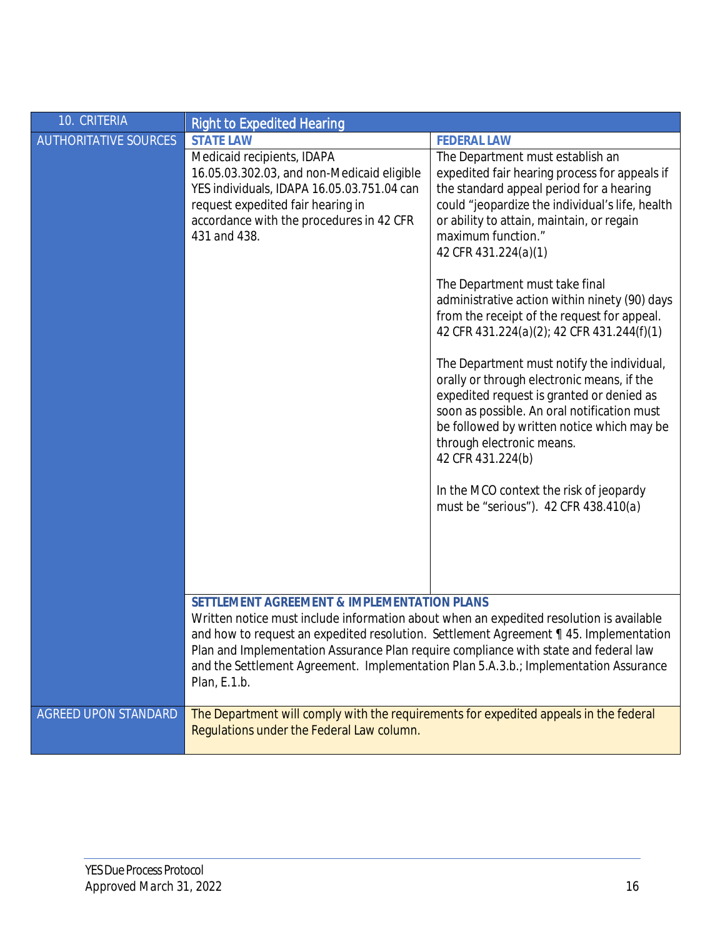<span id="page-15-0"></span>

| 10. CRITERIA                 | <b>Right to Expedited Hearing</b>                                                                                                                                                                                                                                                                                                      |                                                                                                                                                                                                                                                                                                                                                                                                                                                                                                                                                                                                                                                                                                                                                                                                                                                               |
|------------------------------|----------------------------------------------------------------------------------------------------------------------------------------------------------------------------------------------------------------------------------------------------------------------------------------------------------------------------------------|---------------------------------------------------------------------------------------------------------------------------------------------------------------------------------------------------------------------------------------------------------------------------------------------------------------------------------------------------------------------------------------------------------------------------------------------------------------------------------------------------------------------------------------------------------------------------------------------------------------------------------------------------------------------------------------------------------------------------------------------------------------------------------------------------------------------------------------------------------------|
| <b>AUTHORITATIVE SOURCES</b> | <b>STATE LAW</b><br>Medicaid recipients, IDAPA<br>16.05.03.302.03, and non-Medicaid eligible<br>YES individuals, IDAPA 16.05.03.751.04 can<br>request expedited fair hearing in<br>accordance with the procedures in 42 CFR<br>431 and 438.                                                                                            | <b>FEDERAL LAW</b><br>The Department must establish an<br>expedited fair hearing process for appeals if<br>the standard appeal period for a hearing<br>could "jeopardize the individual's life, health<br>or ability to attain, maintain, or regain<br>maximum function."<br>42 CFR 431.224(a)(1)<br>The Department must take final<br>administrative action within ninety (90) days<br>from the receipt of the request for appeal.<br>42 CFR 431.224(a)(2); 42 CFR 431.244(f)(1)<br>The Department must notify the individual,<br>orally or through electronic means, if the<br>expedited request is granted or denied as<br>soon as possible. An oral notification must<br>be followed by written notice which may be<br>through electronic means.<br>42 CFR 431.224(b)<br>In the MCO context the risk of jeopardy<br>must be "serious"). 42 CFR 438.410(a) |
|                              | SETTLEMENT AGREEMENT & IMPLEMENTATION PLANS<br>Written notice must include information about when an expedited resolution is available<br>Plan and Implementation Assurance Plan require compliance with state and federal law<br>and the Settlement Agreement. Implementation Plan 5.A.3.b.; Implementation Assurance<br>Plan, E.1.b. | and how to request an expedited resolution. Settlement Agreement $\eta$ 45. Implementation                                                                                                                                                                                                                                                                                                                                                                                                                                                                                                                                                                                                                                                                                                                                                                    |
| <b>AGREED UPON STANDARD</b>  | The Department will comply with the requirements for expedited appeals in the federal<br>Regulations under the Federal Law column.                                                                                                                                                                                                     |                                                                                                                                                                                                                                                                                                                                                                                                                                                                                                                                                                                                                                                                                                                                                                                                                                                               |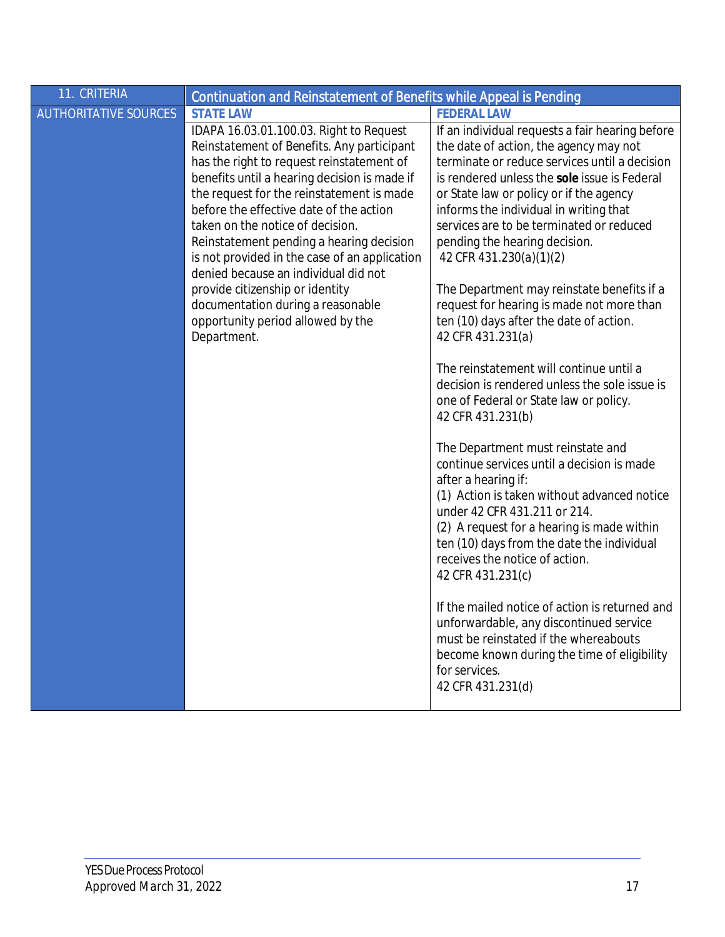<span id="page-16-0"></span>

| 11. CRITERIA                 | Continuation and Reinstatement of Benefits while Appeal is Pending                    |                                                                                  |
|------------------------------|---------------------------------------------------------------------------------------|----------------------------------------------------------------------------------|
| <b>AUTHORITATIVE SOURCES</b> | <b>STATE LAW</b>                                                                      | <b>FEDERAL LAW</b>                                                               |
|                              | IDAPA 16.03.01.100.03. Right to Request                                               | If an individual requests a fair hearing before                                  |
|                              | Reinstatement of Benefits. Any participant                                            | the date of action, the agency may not                                           |
|                              | has the right to request reinstatement of                                             | terminate or reduce services until a decision                                    |
|                              | benefits until a hearing decision is made if                                          | is rendered unless the sole issue is Federal                                     |
|                              | the request for the reinstatement is made                                             | or State law or policy or if the agency                                          |
|                              | before the effective date of the action                                               | informs the individual in writing that                                           |
|                              | taken on the notice of decision.                                                      | services are to be terminated or reduced                                         |
|                              | Reinstatement pending a hearing decision                                              | pending the hearing decision.                                                    |
|                              | is not provided in the case of an application<br>denied because an individual did not | 42 CFR 431.230(a)(1)(2)                                                          |
|                              | provide citizenship or identity                                                       | The Department may reinstate benefits if a                                       |
|                              | documentation during a reasonable                                                     | request for hearing is made not more than                                        |
|                              | opportunity period allowed by the                                                     | ten (10) days after the date of action.                                          |
|                              | Department.                                                                           | 42 CFR 431.231(a)                                                                |
|                              |                                                                                       |                                                                                  |
|                              |                                                                                       | The reinstatement will continue until a                                          |
|                              |                                                                                       | decision is rendered unless the sole issue is                                    |
|                              |                                                                                       | one of Federal or State law or policy.<br>42 CFR 431.231(b)                      |
|                              |                                                                                       |                                                                                  |
|                              |                                                                                       | The Department must reinstate and                                                |
|                              |                                                                                       | continue services until a decision is made                                       |
|                              |                                                                                       | after a hearing if:                                                              |
|                              |                                                                                       | (1) Action is taken without advanced notice                                      |
|                              |                                                                                       | under 42 CFR 431.211 or 214.                                                     |
|                              |                                                                                       | (2) A request for a hearing is made within                                       |
|                              |                                                                                       | ten (10) days from the date the individual                                       |
|                              |                                                                                       | receives the notice of action.                                                   |
|                              |                                                                                       | 42 CFR 431.231(c)                                                                |
|                              |                                                                                       |                                                                                  |
|                              |                                                                                       | If the mailed notice of action is returned and                                   |
|                              |                                                                                       | unforwardable, any discontinued service<br>must be reinstated if the whereabouts |
|                              |                                                                                       | become known during the time of eligibility                                      |
|                              |                                                                                       | for services.                                                                    |
|                              |                                                                                       | 42 CFR 431.231(d)                                                                |
|                              |                                                                                       |                                                                                  |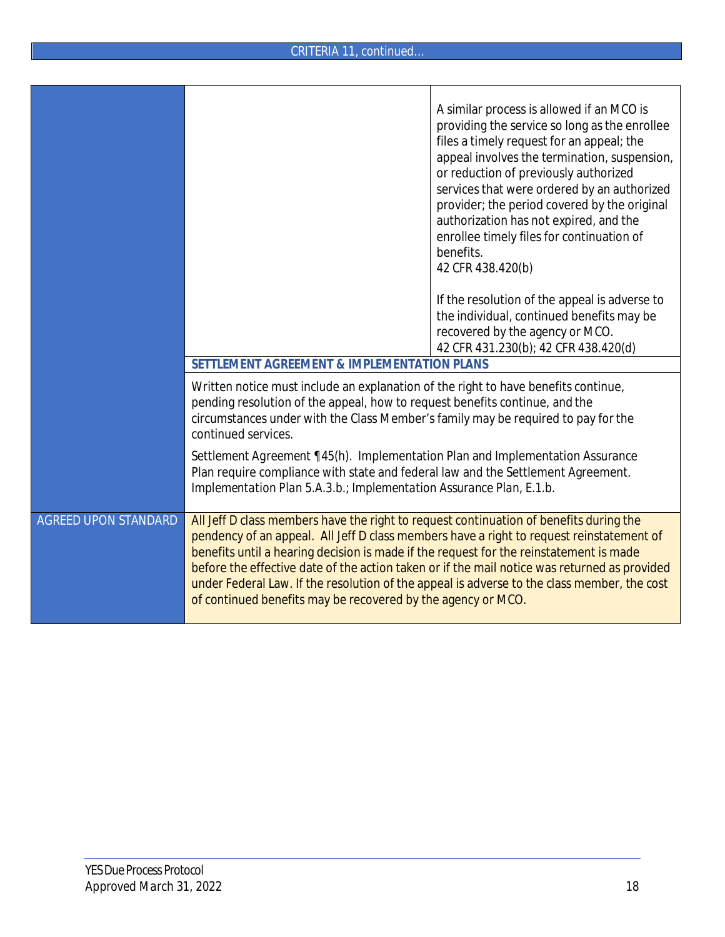|                             |                                                                                                                                                                                                                                                                                                                                                                                                                                                                                                                                                                          | A similar process is allowed if an MCO is<br>providing the service so long as the enrollee<br>files a timely request for an appeal; the<br>appeal involves the termination, suspension,<br>or reduction of previously authorized<br>services that were ordered by an authorized<br>provider; the period covered by the original<br>authorization has not expired, and the<br>enrollee timely files for continuation of<br>benefits.<br>42 CFR 438.420(b)<br>If the resolution of the appeal is adverse to<br>the individual, continued benefits may be<br>recovered by the agency or MCO.<br>42 CFR 431.230(b); 42 CFR 438.420(d) |
|-----------------------------|--------------------------------------------------------------------------------------------------------------------------------------------------------------------------------------------------------------------------------------------------------------------------------------------------------------------------------------------------------------------------------------------------------------------------------------------------------------------------------------------------------------------------------------------------------------------------|-----------------------------------------------------------------------------------------------------------------------------------------------------------------------------------------------------------------------------------------------------------------------------------------------------------------------------------------------------------------------------------------------------------------------------------------------------------------------------------------------------------------------------------------------------------------------------------------------------------------------------------|
|                             | SETTLEMENT AGREEMENT & IMPLEMENTATION PLANS<br>Written notice must include an explanation of the right to have benefits continue,<br>pending resolution of the appeal, how to request benefits continue, and the<br>circumstances under with the Class Member's family may be required to pay for the<br>continued services.<br>Settlement Agreement ¶45(h). Implementation Plan and Implementation Assurance<br>Plan require compliance with state and federal law and the Settlement Agreement.<br>Implementation Plan 5.A.3.b.; Implementation Assurance Plan, E.1.b. |                                                                                                                                                                                                                                                                                                                                                                                                                                                                                                                                                                                                                                   |
| <b>AGREED UPON STANDARD</b> | All Jeff D class members have the right to request continuation of benefits during the<br>pendency of an appeal. All Jeff D class members have a right to request reinstatement of<br>benefits until a hearing decision is made if the request for the reinstatement is made<br>under Federal Law. If the resolution of the appeal is adverse to the class member, the cost<br>of continued benefits may be recovered by the agency or MCO.                                                                                                                              | before the effective date of the action taken or if the mail notice was returned as provided                                                                                                                                                                                                                                                                                                                                                                                                                                                                                                                                      |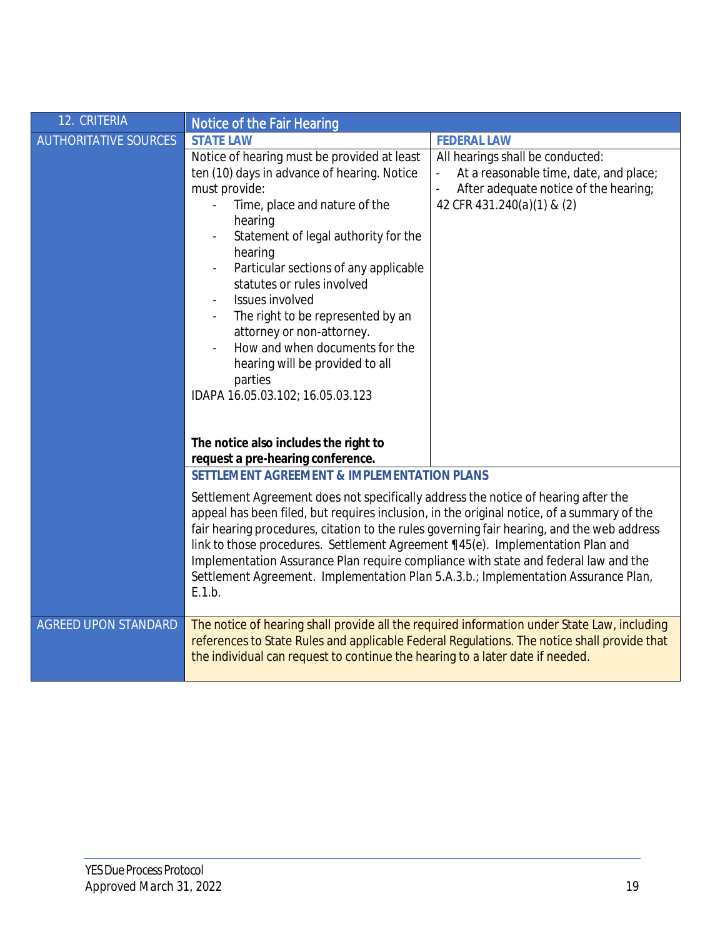<span id="page-18-0"></span>

| 12. CRITERIA                 | <b>Notice of the Fair Hearing</b>                                                                                                                                                        |                                                                                             |
|------------------------------|------------------------------------------------------------------------------------------------------------------------------------------------------------------------------------------|---------------------------------------------------------------------------------------------|
| <b>AUTHORITATIVE SOURCES</b> | <b>STATE LAW</b>                                                                                                                                                                         | <b>FEDERAL LAW</b>                                                                          |
|                              | Notice of hearing must be provided at least                                                                                                                                              | All hearings shall be conducted:                                                            |
|                              | ten (10) days in advance of hearing. Notice                                                                                                                                              | At a reasonable time, date, and place;                                                      |
|                              | must provide:                                                                                                                                                                            | After adequate notice of the hearing;                                                       |
|                              | Time, place and nature of the                                                                                                                                                            | 42 CFR 431.240(a)(1) & (2)                                                                  |
|                              | hearing                                                                                                                                                                                  |                                                                                             |
|                              | Statement of legal authority for the                                                                                                                                                     |                                                                                             |
|                              | hearing<br>Particular sections of any applicable                                                                                                                                         |                                                                                             |
|                              | statutes or rules involved                                                                                                                                                               |                                                                                             |
|                              | Issues involved                                                                                                                                                                          |                                                                                             |
|                              | The right to be represented by an                                                                                                                                                        |                                                                                             |
|                              | attorney or non-attorney.                                                                                                                                                                |                                                                                             |
|                              | How and when documents for the                                                                                                                                                           |                                                                                             |
|                              | hearing will be provided to all                                                                                                                                                          |                                                                                             |
|                              | parties                                                                                                                                                                                  |                                                                                             |
|                              | IDAPA 16.05.03.102; 16.05.03.123                                                                                                                                                         |                                                                                             |
|                              |                                                                                                                                                                                          |                                                                                             |
|                              |                                                                                                                                                                                          |                                                                                             |
|                              | The notice also includes the right to<br>request a pre-hearing conference.                                                                                                               |                                                                                             |
|                              | SETTLEMENT AGREEMENT & IMPLEMENTATION PLANS                                                                                                                                              |                                                                                             |
|                              |                                                                                                                                                                                          |                                                                                             |
|                              | Settlement Agreement does not specifically address the notice of hearing after the                                                                                                       |                                                                                             |
|                              | appeal has been filed, but requires inclusion, in the original notice, of a summary of the<br>fair hearing procedures, citation to the rules governing fair hearing, and the web address |                                                                                             |
|                              | link to those procedures. Settlement Agreement ¶45(e). Implementation Plan and                                                                                                           |                                                                                             |
|                              | Implementation Assurance Plan require compliance with state and federal law and the                                                                                                      |                                                                                             |
|                              | Settlement Agreement. Implementation Plan 5.A.3.b.; Implementation Assurance Plan,                                                                                                       |                                                                                             |
|                              | E. 1.b.                                                                                                                                                                                  |                                                                                             |
|                              |                                                                                                                                                                                          |                                                                                             |
| <b>AGREED UPON STANDARD</b>  | The notice of hearing shall provide all the required information under State Law, including                                                                                              |                                                                                             |
|                              |                                                                                                                                                                                          | references to State Rules and applicable Federal Regulations. The notice shall provide that |
|                              | the individual can request to continue the hearing to a later date if needed.                                                                                                            |                                                                                             |
|                              |                                                                                                                                                                                          |                                                                                             |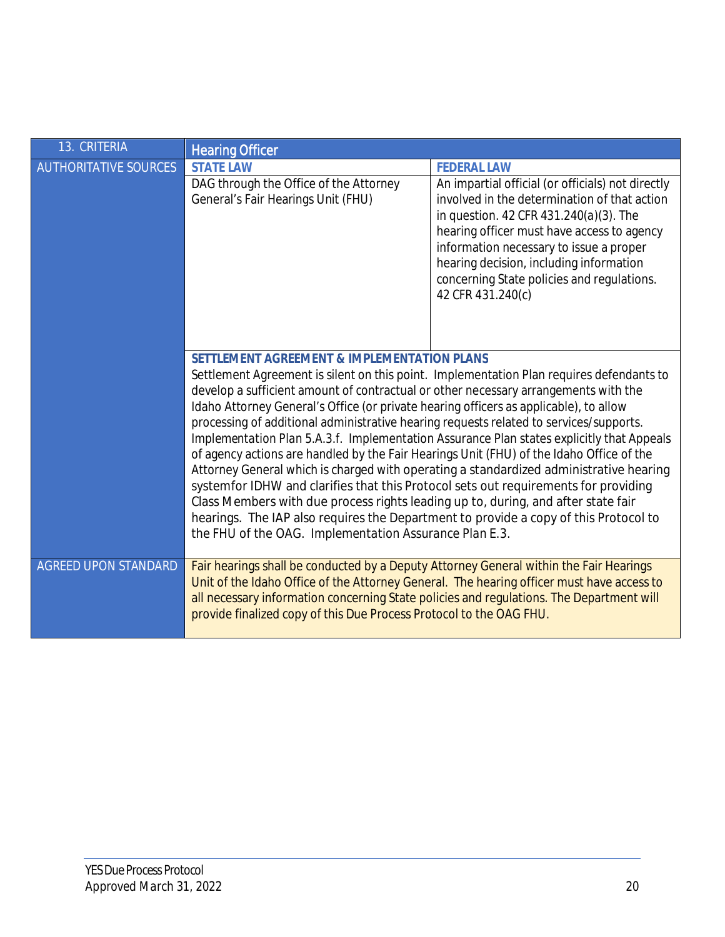<span id="page-19-0"></span>

| 13. CRITERIA                 | <b>Hearing Officer</b>                                                                                                                                                                                                                                                                                                                                                                                                                                                                                                                                                                                                                                                                                                                                                                                                                                                                                                                                                                                                                        |                                                                                                                                                                                                                                                                                                                                                    |
|------------------------------|-----------------------------------------------------------------------------------------------------------------------------------------------------------------------------------------------------------------------------------------------------------------------------------------------------------------------------------------------------------------------------------------------------------------------------------------------------------------------------------------------------------------------------------------------------------------------------------------------------------------------------------------------------------------------------------------------------------------------------------------------------------------------------------------------------------------------------------------------------------------------------------------------------------------------------------------------------------------------------------------------------------------------------------------------|----------------------------------------------------------------------------------------------------------------------------------------------------------------------------------------------------------------------------------------------------------------------------------------------------------------------------------------------------|
| <b>AUTHORITATIVE SOURCES</b> | <b>STATE LAW</b>                                                                                                                                                                                                                                                                                                                                                                                                                                                                                                                                                                                                                                                                                                                                                                                                                                                                                                                                                                                                                              | <b>FEDERAL LAW</b>                                                                                                                                                                                                                                                                                                                                 |
|                              | DAG through the Office of the Attorney<br>General's Fair Hearings Unit (FHU)                                                                                                                                                                                                                                                                                                                                                                                                                                                                                                                                                                                                                                                                                                                                                                                                                                                                                                                                                                  | An impartial official (or officials) not directly<br>involved in the determination of that action<br>in question. 42 CFR 431.240(a)(3). The<br>hearing officer must have access to agency<br>information necessary to issue a proper<br>hearing decision, including information<br>concerning State policies and regulations.<br>42 CFR 431.240(c) |
|                              | <b>SETTLEMENT AGREEMENT &amp; IMPLEMENTATION PLANS</b><br>Settlement Agreement is silent on this point. Implementation Plan requires defendants to<br>develop a sufficient amount of contractual or other necessary arrangements with the<br>Idaho Attorney General's Office (or private hearing officers as applicable), to allow<br>processing of additional administrative hearing requests related to services/supports.<br>Implementation Plan 5.A.3.f. Implementation Assurance Plan states explicitly that Appeals<br>of agency actions are handled by the Fair Hearings Unit (FHU) of the Idaho Office of the<br>Attorney General which is charged with operating a standardized administrative hearing<br>systemfor IDHW and clarifies that this Protocol sets out requirements for providing<br>Class Members with due process rights leading up to, during, and after state fair<br>hearings. The IAP also requires the Department to provide a copy of this Protocol to<br>the FHU of the OAG. Implementation Assurance Plan E.3. |                                                                                                                                                                                                                                                                                                                                                    |
| <b>AGREED UPON STANDARD</b>  | Fair hearings shall be conducted by a Deputy Attorney General within the Fair Hearings<br>Unit of the Idaho Office of the Attorney General. The hearing officer must have access to<br>all necessary information concerning State policies and regulations. The Department will<br>provide finalized copy of this Due Process Protocol to the OAG FHU.                                                                                                                                                                                                                                                                                                                                                                                                                                                                                                                                                                                                                                                                                        |                                                                                                                                                                                                                                                                                                                                                    |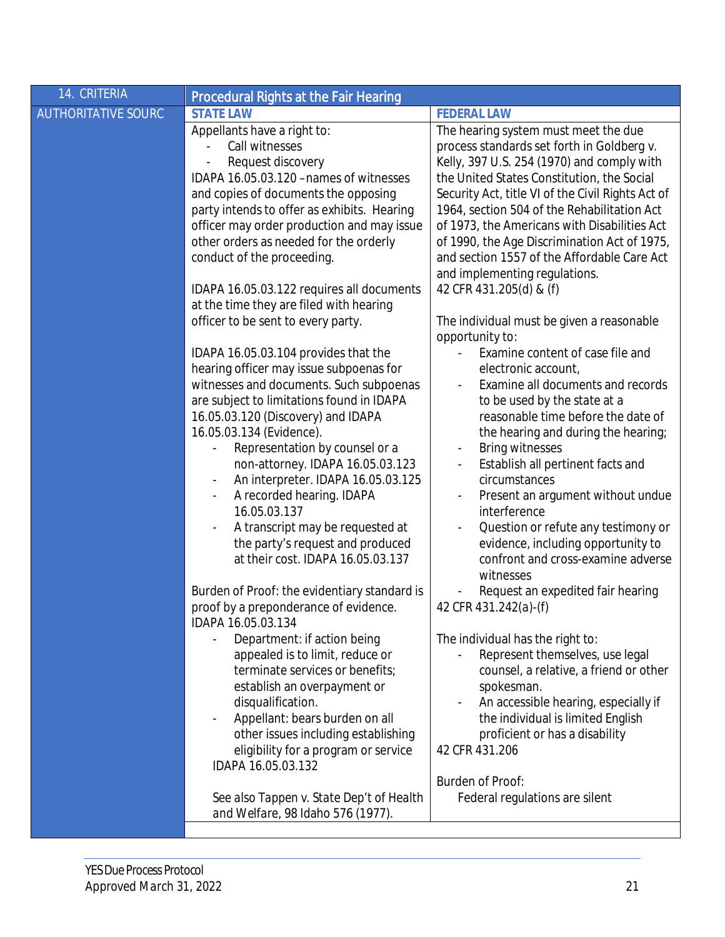<span id="page-20-0"></span>

|                            | <b>Procedural Rights at the Fair Hearing</b>                                                                                                                                                                                                                                                                                                                                                                                                                                                                                                                                                                                                                                                                                                                                                                                                                                                                                                                                                                                                                                                                                                                                                                                                                                                                                                                                         |                                                                                                                                                                                                                                                                                                                                                                                                                                                                                                                                                                                                                                                                                                                                                                                                                                                                                                                                                                                                                                                                                                                                                                                                                                                                                                                                                                                         |
|----------------------------|--------------------------------------------------------------------------------------------------------------------------------------------------------------------------------------------------------------------------------------------------------------------------------------------------------------------------------------------------------------------------------------------------------------------------------------------------------------------------------------------------------------------------------------------------------------------------------------------------------------------------------------------------------------------------------------------------------------------------------------------------------------------------------------------------------------------------------------------------------------------------------------------------------------------------------------------------------------------------------------------------------------------------------------------------------------------------------------------------------------------------------------------------------------------------------------------------------------------------------------------------------------------------------------------------------------------------------------------------------------------------------------|-----------------------------------------------------------------------------------------------------------------------------------------------------------------------------------------------------------------------------------------------------------------------------------------------------------------------------------------------------------------------------------------------------------------------------------------------------------------------------------------------------------------------------------------------------------------------------------------------------------------------------------------------------------------------------------------------------------------------------------------------------------------------------------------------------------------------------------------------------------------------------------------------------------------------------------------------------------------------------------------------------------------------------------------------------------------------------------------------------------------------------------------------------------------------------------------------------------------------------------------------------------------------------------------------------------------------------------------------------------------------------------------|
| <b>AUTHORITATIVE SOURC</b> | <b>STATE LAW</b>                                                                                                                                                                                                                                                                                                                                                                                                                                                                                                                                                                                                                                                                                                                                                                                                                                                                                                                                                                                                                                                                                                                                                                                                                                                                                                                                                                     | <b>FEDERAL LAW</b>                                                                                                                                                                                                                                                                                                                                                                                                                                                                                                                                                                                                                                                                                                                                                                                                                                                                                                                                                                                                                                                                                                                                                                                                                                                                                                                                                                      |
| 14. CRITERIA               | Appellants have a right to:<br>Call witnesses<br>Request discovery<br>IDAPA 16.05.03.120 - names of witnesses<br>and copies of documents the opposing<br>party intends to offer as exhibits. Hearing<br>officer may order production and may issue<br>other orders as needed for the orderly<br>conduct of the proceeding.<br>IDAPA 16.05.03.122 requires all documents<br>at the time they are filed with hearing<br>officer to be sent to every party.<br>IDAPA 16.05.03.104 provides that the<br>hearing officer may issue subpoenas for<br>witnesses and documents. Such subpoenas<br>are subject to limitations found in IDAPA<br>16.05.03.120 (Discovery) and IDAPA<br>16.05.03.134 (Evidence).<br>Representation by counsel or a<br>non-attorney. IDAPA 16.05.03.123<br>An interpreter. IDAPA 16.05.03.125<br>$\overline{\phantom{m}}$<br>A recorded hearing. IDAPA<br>$\overline{\phantom{a}}$<br>16.05.03.137<br>A transcript may be requested at<br>the party's request and produced<br>at their cost. IDAPA 16.05.03.137<br>Burden of Proof: the evidentiary standard is<br>proof by a preponderance of evidence.<br>IDAPA 16.05.03.134<br>Department: if action being<br>appealed is to limit, reduce or<br>terminate services or benefits;<br>establish an overpayment or<br>disqualification.<br>Appellant: bears burden on all<br>other issues including establishing | The hearing system must meet the due<br>process standards set forth in Goldberg v.<br>Kelly, 397 U.S. 254 (1970) and comply with<br>the United States Constitution, the Social<br>Security Act, title VI of the Civil Rights Act of<br>1964, section 504 of the Rehabilitation Act<br>of 1973, the Americans with Disabilities Act<br>of 1990, the Age Discrimination Act of 1975,<br>and section 1557 of the Affordable Care Act<br>and implementing regulations.<br>42 CFR 431.205(d) & (f)<br>The individual must be given a reasonable<br>opportunity to:<br>Examine content of case file and<br>electronic account,<br>Examine all documents and records<br>to be used by the state at a<br>reasonable time before the date of<br>the hearing and during the hearing;<br><b>Bring witnesses</b><br>Establish all pertinent facts and<br>circumstances<br>Present an argument without undue<br>$\overline{\phantom{a}}$<br>interference<br>Question or refute any testimony or<br>evidence, including opportunity to<br>confront and cross-examine adverse<br>witnesses<br>Request an expedited fair hearing<br>42 CFR 431.242(a)-(f)<br>The individual has the right to:<br>Represent themselves, use legal<br>counsel, a relative, a friend or other<br>spokesman.<br>An accessible hearing, especially if<br>the individual is limited English<br>proficient or has a disability |
|                            | eligibility for a program or service<br>IDAPA 16.05.03.132<br>See also Tappen v. State Dep't of Health<br>and Welfare, 98 Idaho 576 (1977).                                                                                                                                                                                                                                                                                                                                                                                                                                                                                                                                                                                                                                                                                                                                                                                                                                                                                                                                                                                                                                                                                                                                                                                                                                          | 42 CFR 431.206<br><b>Burden of Proof:</b><br>Federal regulations are silent                                                                                                                                                                                                                                                                                                                                                                                                                                                                                                                                                                                                                                                                                                                                                                                                                                                                                                                                                                                                                                                                                                                                                                                                                                                                                                             |
|                            |                                                                                                                                                                                                                                                                                                                                                                                                                                                                                                                                                                                                                                                                                                                                                                                                                                                                                                                                                                                                                                                                                                                                                                                                                                                                                                                                                                                      |                                                                                                                                                                                                                                                                                                                                                                                                                                                                                                                                                                                                                                                                                                                                                                                                                                                                                                                                                                                                                                                                                                                                                                                                                                                                                                                                                                                         |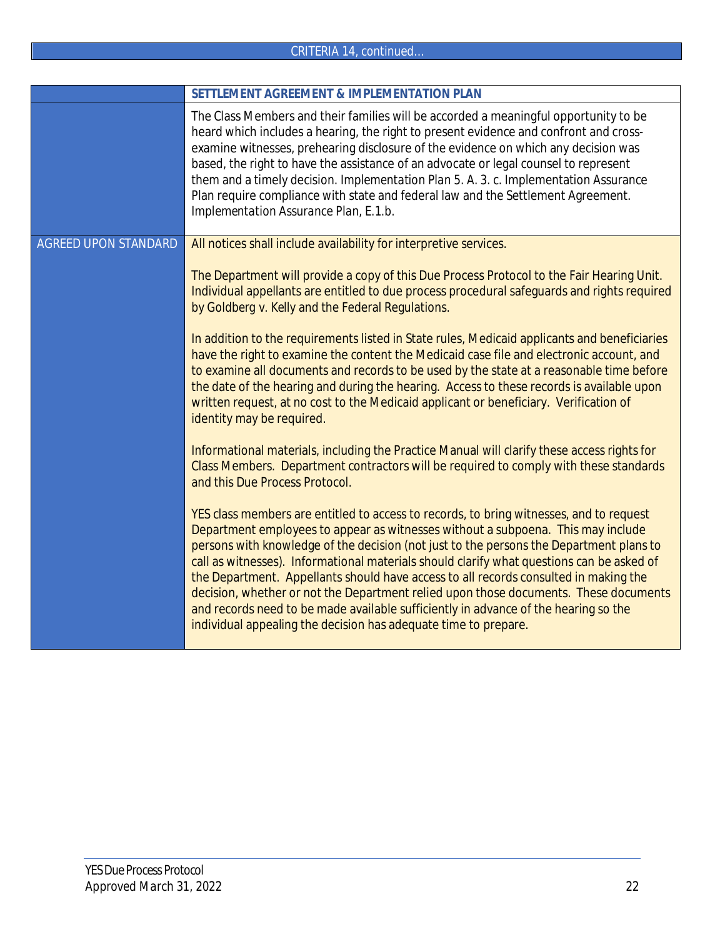# CRITERIA 14, *continued…*

|                             | SETTLEMENT AGREEMENT & IMPLEMENTATION PLAN                                                                                                                                                                                                                                                                                                                                                                                                                                                                                                                                                                                                                                                                    |
|-----------------------------|---------------------------------------------------------------------------------------------------------------------------------------------------------------------------------------------------------------------------------------------------------------------------------------------------------------------------------------------------------------------------------------------------------------------------------------------------------------------------------------------------------------------------------------------------------------------------------------------------------------------------------------------------------------------------------------------------------------|
|                             | The Class Members and their families will be accorded a meaningful opportunity to be<br>heard which includes a hearing, the right to present evidence and confront and cross-<br>examine witnesses, prehearing disclosure of the evidence on which any decision was<br>based, the right to have the assistance of an advocate or legal counsel to represent<br>them and a timely decision. Implementation Plan 5. A. 3. c. Implementation Assurance<br>Plan require compliance with state and federal law and the Settlement Agreement.<br>Implementation Assurance Plan, E.1.b.                                                                                                                              |
| <b>AGREED UPON STANDARD</b> | All notices shall include availability for interpretive services.                                                                                                                                                                                                                                                                                                                                                                                                                                                                                                                                                                                                                                             |
|                             | The Department will provide a copy of this Due Process Protocol to the Fair Hearing Unit.<br>Individual appellants are entitled to due process procedural safeguards and rights required<br>by Goldberg v. Kelly and the Federal Regulations.                                                                                                                                                                                                                                                                                                                                                                                                                                                                 |
|                             | In addition to the requirements listed in State rules, Medicaid applicants and beneficiaries<br>have the right to examine the content the Medicaid case file and electronic account, and<br>to examine all documents and records to be used by the state at a reasonable time before<br>the date of the hearing and during the hearing. Access to these records is available upon<br>written request, at no cost to the Medicaid applicant or beneficiary. Verification of<br>identity may be required.                                                                                                                                                                                                       |
|                             | Informational materials, including the Practice Manual will clarify these access rights for<br>Class Members. Department contractors will be required to comply with these standards<br>and this Due Process Protocol.                                                                                                                                                                                                                                                                                                                                                                                                                                                                                        |
|                             | YES class members are entitled to access to records, to bring witnesses, and to request<br>Department employees to appear as witnesses without a subpoena. This may include<br>persons with knowledge of the decision (not just to the persons the Department plans to<br>call as witnesses). Informational materials should clarify what questions can be asked of<br>the Department. Appellants should have access to all records consulted in making the<br>decision, whether or not the Department relied upon those documents. These documents<br>and records need to be made available sufficiently in advance of the hearing so the<br>individual appealing the decision has adequate time to prepare. |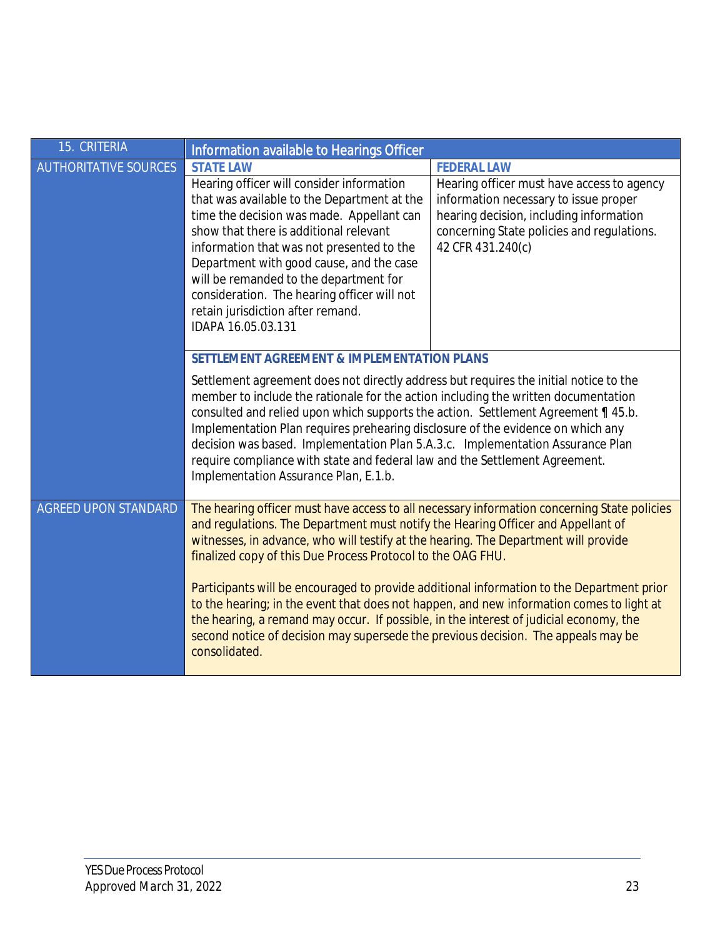<span id="page-22-0"></span>

| 15. CRITERIA                 | Information available to Hearings Officer                                                                                                                                                                                                                  |                                                                                             |
|------------------------------|------------------------------------------------------------------------------------------------------------------------------------------------------------------------------------------------------------------------------------------------------------|---------------------------------------------------------------------------------------------|
| <b>AUTHORITATIVE SOURCES</b> | <b>STATE LAW</b>                                                                                                                                                                                                                                           | <b>FEDERAL LAW</b>                                                                          |
|                              | Hearing officer will consider information                                                                                                                                                                                                                  | Hearing officer must have access to agency                                                  |
|                              | that was available to the Department at the                                                                                                                                                                                                                | information necessary to issue proper                                                       |
|                              | time the decision was made. Appellant can                                                                                                                                                                                                                  | hearing decision, including information                                                     |
|                              | show that there is additional relevant<br>information that was not presented to the                                                                                                                                                                        | concerning State policies and regulations.<br>42 CFR 431.240(c)                             |
|                              | Department with good cause, and the case                                                                                                                                                                                                                   |                                                                                             |
|                              | will be remanded to the department for                                                                                                                                                                                                                     |                                                                                             |
|                              | consideration. The hearing officer will not                                                                                                                                                                                                                |                                                                                             |
|                              | retain jurisdiction after remand.                                                                                                                                                                                                                          |                                                                                             |
|                              | IDAPA 16.05.03.131                                                                                                                                                                                                                                         |                                                                                             |
|                              |                                                                                                                                                                                                                                                            |                                                                                             |
|                              | SETTLEMENT AGREEMENT & IMPLEMENTATION PLANS                                                                                                                                                                                                                |                                                                                             |
|                              | Settlement agreement does not directly address but requires the initial notice to the                                                                                                                                                                      |                                                                                             |
|                              | member to include the rationale for the action including the written documentation<br>consulted and relied upon which supports the action. Settlement Agreement ¶ 45.b.<br>Implementation Plan requires prehearing disclosure of the evidence on which any |                                                                                             |
|                              |                                                                                                                                                                                                                                                            |                                                                                             |
|                              | decision was based. Implementation Plan 5.A.3.c. Implementation Assurance Plan                                                                                                                                                                             |                                                                                             |
|                              | require compliance with state and federal law and the Settlement Agreement.                                                                                                                                                                                |                                                                                             |
|                              | Implementation Assurance Plan, E.1.b.                                                                                                                                                                                                                      |                                                                                             |
|                              |                                                                                                                                                                                                                                                            |                                                                                             |
| <b>AGREED UPON STANDARD</b>  |                                                                                                                                                                                                                                                            | The hearing officer must have access to all necessary information concerning State policies |
|                              | and regulations. The Department must notify the Hearing Officer and Appellant of                                                                                                                                                                           |                                                                                             |
|                              | witnesses, in advance, who will testify at the hearing. The Department will provide<br>finalized copy of this Due Process Protocol to the OAG FHU.                                                                                                         |                                                                                             |
|                              |                                                                                                                                                                                                                                                            |                                                                                             |
|                              | Participants will be encouraged to provide additional information to the Department prior                                                                                                                                                                  |                                                                                             |
|                              | to the hearing; in the event that does not happen, and new information comes to light at                                                                                                                                                                   |                                                                                             |
|                              | the hearing, a remand may occur. If possible, in the interest of judicial economy, the                                                                                                                                                                     |                                                                                             |
|                              | second notice of decision may supersede the previous decision. The appeals may be                                                                                                                                                                          |                                                                                             |
|                              |                                                                                                                                                                                                                                                            |                                                                                             |
|                              | consolidated.                                                                                                                                                                                                                                              |                                                                                             |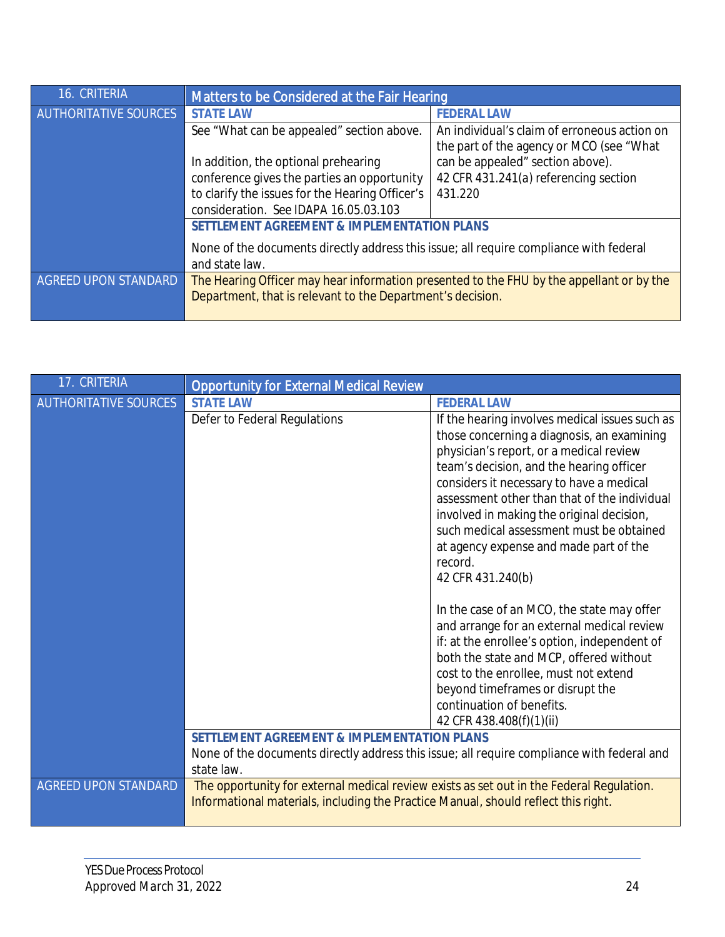<span id="page-23-0"></span>

| 16. CRITERIA                 | Matters to be Considered at the Fair Hearing                                                                                                           |                                                                                          |
|------------------------------|--------------------------------------------------------------------------------------------------------------------------------------------------------|------------------------------------------------------------------------------------------|
| <b>AUTHORITATIVE SOURCES</b> | <b>STATE LAW</b>                                                                                                                                       | <b>FEDERAL LAW</b>                                                                       |
|                              | See "What can be appealed" section above.                                                                                                              | An individual's claim of erroneous action on<br>the part of the agency or MCO (see "What |
|                              | In addition, the optional prehearing                                                                                                                   | can be appealed" section above).                                                         |
|                              | conference gives the parties an opportunity                                                                                                            | 42 CFR 431.241(a) referencing section                                                    |
|                              | to clarify the issues for the Hearing Officer's                                                                                                        | 431.220                                                                                  |
|                              | consideration. See IDAPA 16.05.03.103                                                                                                                  |                                                                                          |
|                              | SETTLEMENT AGREEMENT & IMPLEMENTATION PLANS                                                                                                            |                                                                                          |
|                              | None of the documents directly address this issue; all require compliance with federal<br>and state law.                                               |                                                                                          |
| AGREED UPON STANDARD         | The Hearing Officer may hear information presented to the FHU by the appellant or by the<br>Department, that is relevant to the Department's decision. |                                                                                          |

<span id="page-23-1"></span>

| 17. CRITERIA                 | <b>Opportunity for External Medical Review</b>                                           |                                                                                            |
|------------------------------|------------------------------------------------------------------------------------------|--------------------------------------------------------------------------------------------|
| <b>AUTHORITATIVE SOURCES</b> | <b>STATE LAW</b>                                                                         | <b>FEDERAL LAW</b>                                                                         |
|                              | Defer to Federal Regulations                                                             | If the hearing involves medical issues such as                                             |
|                              |                                                                                          | those concerning a diagnosis, an examining                                                 |
|                              |                                                                                          | physician's report, or a medical review                                                    |
|                              |                                                                                          | team's decision, and the hearing officer                                                   |
|                              |                                                                                          | considers it necessary to have a medical                                                   |
|                              |                                                                                          | assessment other than that of the individual                                               |
|                              |                                                                                          | involved in making the original decision,                                                  |
|                              |                                                                                          | such medical assessment must be obtained                                                   |
|                              |                                                                                          | at agency expense and made part of the                                                     |
|                              |                                                                                          | record.                                                                                    |
|                              |                                                                                          | 42 CFR 431.240(b)                                                                          |
|                              |                                                                                          | In the case of an MCO, the state may offer                                                 |
|                              |                                                                                          | and arrange for an external medical review                                                 |
|                              |                                                                                          | if: at the enrollee's option, independent of                                               |
|                              |                                                                                          | both the state and MCP, offered without                                                    |
|                              |                                                                                          | cost to the enrollee, must not extend                                                      |
|                              |                                                                                          | beyond timeframes or disrupt the                                                           |
|                              |                                                                                          | continuation of benefits.                                                                  |
|                              |                                                                                          | 42 CFR 438.408(f)(1)(ii)                                                                   |
|                              | SETTLEMENT AGREEMENT & IMPLEMENTATION PLANS                                              |                                                                                            |
|                              |                                                                                          | None of the documents directly address this issue; all require compliance with federal and |
|                              | state law.                                                                               |                                                                                            |
| <b>AGREED UPON STANDARD</b>  | The opportunity for external medical review exists as set out in the Federal Regulation. |                                                                                            |
|                              | Informational materials, including the Practice Manual, should reflect this right.       |                                                                                            |
|                              |                                                                                          |                                                                                            |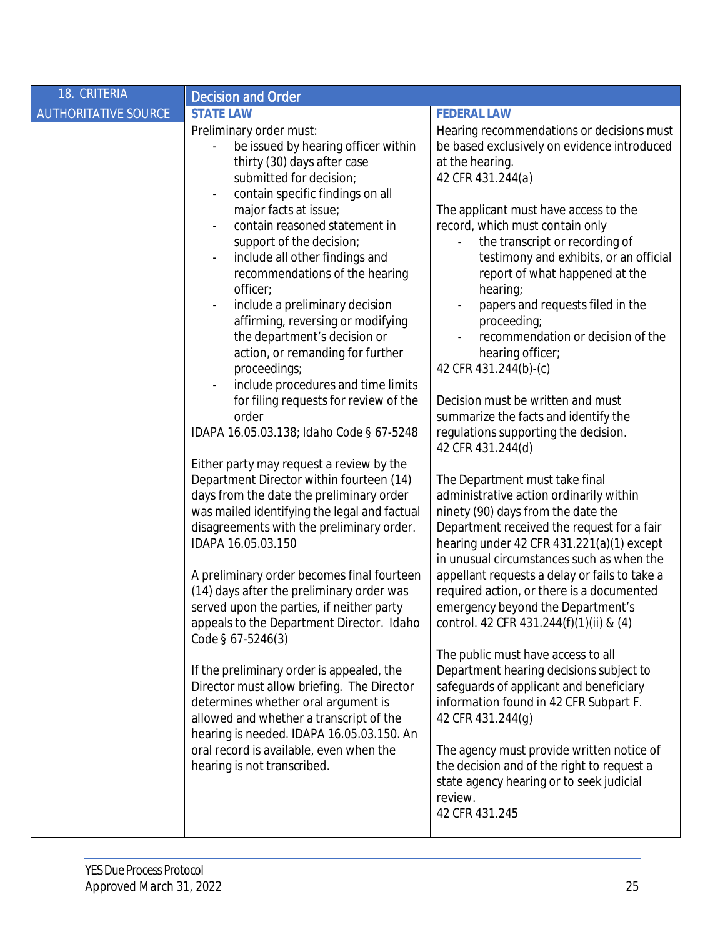<span id="page-24-0"></span>

|                             | <b>Decision and Order</b>                                                                                                                                                                                                                                                                                                                                                                                                                                                                                                                                                                                                                                                                                                                                                                                                                                                                                                              |                                                                                                                                                                                                                                                                                                                                                                                                                                                                                                                                                                                                                                                                                                                                                                                                                                                                                                                                   |
|-----------------------------|----------------------------------------------------------------------------------------------------------------------------------------------------------------------------------------------------------------------------------------------------------------------------------------------------------------------------------------------------------------------------------------------------------------------------------------------------------------------------------------------------------------------------------------------------------------------------------------------------------------------------------------------------------------------------------------------------------------------------------------------------------------------------------------------------------------------------------------------------------------------------------------------------------------------------------------|-----------------------------------------------------------------------------------------------------------------------------------------------------------------------------------------------------------------------------------------------------------------------------------------------------------------------------------------------------------------------------------------------------------------------------------------------------------------------------------------------------------------------------------------------------------------------------------------------------------------------------------------------------------------------------------------------------------------------------------------------------------------------------------------------------------------------------------------------------------------------------------------------------------------------------------|
| <b>AUTHORITATIVE SOURCE</b> | <b>STATE LAW</b>                                                                                                                                                                                                                                                                                                                                                                                                                                                                                                                                                                                                                                                                                                                                                                                                                                                                                                                       | <b>FEDERAL LAW</b>                                                                                                                                                                                                                                                                                                                                                                                                                                                                                                                                                                                                                                                                                                                                                                                                                                                                                                                |
| 18. CRITERIA                | Preliminary order must:<br>be issued by hearing officer within<br>thirty (30) days after case<br>submitted for decision;<br>contain specific findings on all<br>major facts at issue;<br>contain reasoned statement in<br>support of the decision;<br>include all other findings and<br>recommendations of the hearing<br>officer;<br>include a preliminary decision<br>affirming, reversing or modifying<br>the department's decision or<br>action, or remanding for further<br>proceedings;<br>include procedures and time limits<br>for filing requests for review of the<br>order<br>IDAPA 16.05.03.138; Idaho Code § 67-5248<br>Either party may request a review by the<br>Department Director within fourteen (14)<br>days from the date the preliminary order<br>was mailed identifying the legal and factual<br>disagreements with the preliminary order.<br>IDAPA 16.05.03.150<br>A preliminary order becomes final fourteen | Hearing recommendations or decisions must<br>be based exclusively on evidence introduced<br>at the hearing.<br>42 CFR 431.244(a)<br>The applicant must have access to the<br>record, which must contain only<br>the transcript or recording of<br>testimony and exhibits, or an official<br>report of what happened at the<br>hearing;<br>papers and requests filed in the<br>proceeding;<br>recommendation or decision of the<br>hearing officer;<br>42 CFR 431.244(b)-(c)<br>Decision must be written and must<br>summarize the facts and identify the<br>regulations supporting the decision.<br>42 CFR 431.244(d)<br>The Department must take final<br>administrative action ordinarily within<br>ninety (90) days from the date the<br>Department received the request for a fair<br>hearing under 42 CFR 431.221(a)(1) except<br>in unusual circumstances such as when the<br>appellant requests a delay or fails to take a |
|                             |                                                                                                                                                                                                                                                                                                                                                                                                                                                                                                                                                                                                                                                                                                                                                                                                                                                                                                                                        |                                                                                                                                                                                                                                                                                                                                                                                                                                                                                                                                                                                                                                                                                                                                                                                                                                                                                                                                   |
|                             | (14) days after the preliminary order was<br>served upon the parties, if neither party<br>appeals to the Department Director. Idaho<br>Code § 67-5246(3)                                                                                                                                                                                                                                                                                                                                                                                                                                                                                                                                                                                                                                                                                                                                                                               | required action, or there is a documented<br>emergency beyond the Department's<br>control. 42 CFR 431.244(f)(1)(ii) & (4)                                                                                                                                                                                                                                                                                                                                                                                                                                                                                                                                                                                                                                                                                                                                                                                                         |
|                             | If the preliminary order is appealed, the<br>Director must allow briefing. The Director<br>determines whether oral argument is<br>allowed and whether a transcript of the<br>hearing is needed. IDAPA 16.05.03.150. An<br>oral record is available, even when the<br>hearing is not transcribed.                                                                                                                                                                                                                                                                                                                                                                                                                                                                                                                                                                                                                                       | The public must have access to all<br>Department hearing decisions subject to<br>safeguards of applicant and beneficiary<br>information found in 42 CFR Subpart F.<br>42 CFR 431.244(g)<br>The agency must provide written notice of<br>the decision and of the right to request a<br>state agency hearing or to seek judicial<br>review.<br>42 CFR 431.245                                                                                                                                                                                                                                                                                                                                                                                                                                                                                                                                                                       |